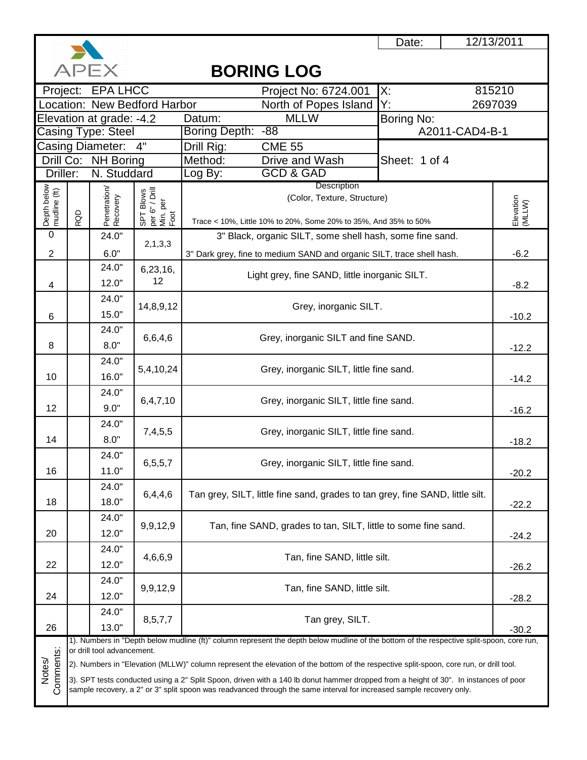

|                             |     | <b>APEX</b>                             |                                                 | <b>BORING LOG</b>                                                                                                                                                                                                                                            |                |                     |
|-----------------------------|-----|-----------------------------------------|-------------------------------------------------|--------------------------------------------------------------------------------------------------------------------------------------------------------------------------------------------------------------------------------------------------------------|----------------|---------------------|
|                             |     | Project: EPA LHCC                       |                                                 | Project No: 6724.001                                                                                                                                                                                                                                         | Х.             | 815210              |
|                             |     |                                         | Location: New Bedford Harbor                    | North of Popes Island                                                                                                                                                                                                                                        | Y.             | 2697039             |
|                             |     | Elevation at grade: -4.2                |                                                 | <b>MLLW</b><br>Datum:                                                                                                                                                                                                                                        | Boring No:     |                     |
|                             |     | Casing Type: Steel                      |                                                 | Boring Depth:<br>$-88$                                                                                                                                                                                                                                       | A2011-CAD4-B-1 |                     |
|                             |     | Casing Diameter:<br>Drill Co: NH Boring | 4"                                              | Drill Rig:<br><b>CME 55</b><br>Method:<br>Drive and Wash                                                                                                                                                                                                     | Sheet: 1 of 4  |                     |
| Driller:                    |     | N. Studdard                             |                                                 | <b>GCD &amp; GAD</b><br>Log By:                                                                                                                                                                                                                              |                |                     |
|                             |     |                                         |                                                 | Description                                                                                                                                                                                                                                                  |                |                     |
| Depth below<br>mudline (ft) |     | Penetration/<br>Recovery                | SPT Blows<br>per 6" / Drill<br>Min. per<br>Foot | (Color, Texture, Structure)                                                                                                                                                                                                                                  |                |                     |
|                             | RQD |                                         |                                                 | Trace < 10%, Little 10% to 20%, Some 20% to 35%, And 35% to 50%                                                                                                                                                                                              |                | Elevation<br>(MLLW) |
| $\mathbf 0$                 |     | 24.0"                                   |                                                 | 3" Black, organic SILT, some shell hash, some fine sand.                                                                                                                                                                                                     |                |                     |
|                             |     |                                         | 2,1,3,3                                         |                                                                                                                                                                                                                                                              |                |                     |
| $\overline{2}$              |     | 6.0"<br>24.0"                           |                                                 | 3" Dark grey, fine to medium SAND and organic SILT, trace shell hash.                                                                                                                                                                                        |                | $-6.2$              |
|                             |     | 12.0"                                   | 6,23,16,<br>12                                  | Light grey, fine SAND, little inorganic SILT.                                                                                                                                                                                                                |                |                     |
| 4                           |     | 24.0"                                   |                                                 |                                                                                                                                                                                                                                                              |                | $-8.2$              |
|                             |     | 15.0"                                   | 14,8,9,12                                       | Grey, inorganic SILT.                                                                                                                                                                                                                                        |                |                     |
| 6                           |     | 24.0"                                   |                                                 |                                                                                                                                                                                                                                                              |                | $-10.2$             |
|                             |     | 8.0"                                    | 6,6,4,6                                         | Grey, inorganic SILT and fine SAND.                                                                                                                                                                                                                          |                |                     |
| 8                           |     |                                         |                                                 |                                                                                                                                                                                                                                                              | $-12.2$        |                     |
|                             |     | 24.0"                                   | 5,4,10,24                                       | Grey, inorganic SILT, little fine sand.                                                                                                                                                                                                                      |                |                     |
| 10                          |     | 16.0"                                   |                                                 |                                                                                                                                                                                                                                                              | $-14.2$        |                     |
|                             |     | 24.0"                                   | 6, 4, 7, 10                                     | Grey, inorganic SILT, little fine sand.                                                                                                                                                                                                                      |                |                     |
| 12                          |     | 9.0"                                    |                                                 |                                                                                                                                                                                                                                                              |                | $-16.2$             |
|                             |     | 24.0"                                   | 7,4,5,5                                         | Grey, inorganic SILT, little fine sand.                                                                                                                                                                                                                      |                |                     |
| 14                          |     | 8.0"                                    |                                                 |                                                                                                                                                                                                                                                              |                | $-18.2$             |
|                             |     | 24.0"                                   | 6,5,5,7                                         | Grey, inorganic SILT, little fine sand.                                                                                                                                                                                                                      |                |                     |
| 16                          |     | 11.0"                                   |                                                 |                                                                                                                                                                                                                                                              |                | $-20.2$             |
|                             |     | 24.0"                                   | 6,4,4,6                                         | Tan grey, SILT, little fine sand, grades to tan grey, fine SAND, little silt.                                                                                                                                                                                |                |                     |
| 18                          |     | 18.0"                                   |                                                 |                                                                                                                                                                                                                                                              |                | $-22.2$             |
|                             |     | 24.0"                                   | 9,9,12,9                                        | Tan, fine SAND, grades to tan, SILT, little to some fine sand.                                                                                                                                                                                               |                |                     |
| 20                          |     | 12.0"                                   |                                                 |                                                                                                                                                                                                                                                              |                | $-24.2$             |
|                             |     | 24.0"                                   | 4,6,6,9                                         | Tan, fine SAND, little silt.                                                                                                                                                                                                                                 |                |                     |
| 22                          |     | 12.0"                                   |                                                 |                                                                                                                                                                                                                                                              |                | $-26.2$             |
|                             |     | 24.0"                                   | 9,9,12,9                                        | Tan, fine SAND, little silt.                                                                                                                                                                                                                                 |                |                     |
| 24                          |     | 12.0"                                   |                                                 |                                                                                                                                                                                                                                                              |                | $-28.2$             |
|                             |     | 24.0"                                   | 8,5,7,7                                         | Tan grey, SILT.                                                                                                                                                                                                                                              |                |                     |
| 26                          |     | 13.0"                                   |                                                 |                                                                                                                                                                                                                                                              |                | $-30.2$             |
|                             |     | or drill tool advancement.              |                                                 | 1). Numbers in "Depth below mudline (ft)" column represent the depth below mudline of the bottom of the respective split-spoon, core run,                                                                                                                    |                |                     |
| Notes/                      |     |                                         |                                                 | 2). Numbers in "Elevation (MLLW)" column represent the elevation of the bottom of the respective split-spoon, core run, or drill tool.                                                                                                                       |                |                     |
| Comments:                   |     |                                         |                                                 | 3). SPT tests conducted using a 2" Split Spoon, driven with a 140 lb donut hammer dropped from a height of 30". In instances of poor<br>sample recovery, a 2" or 3" split spoon was readvanced through the same interval for increased sample recovery only. |                |                     |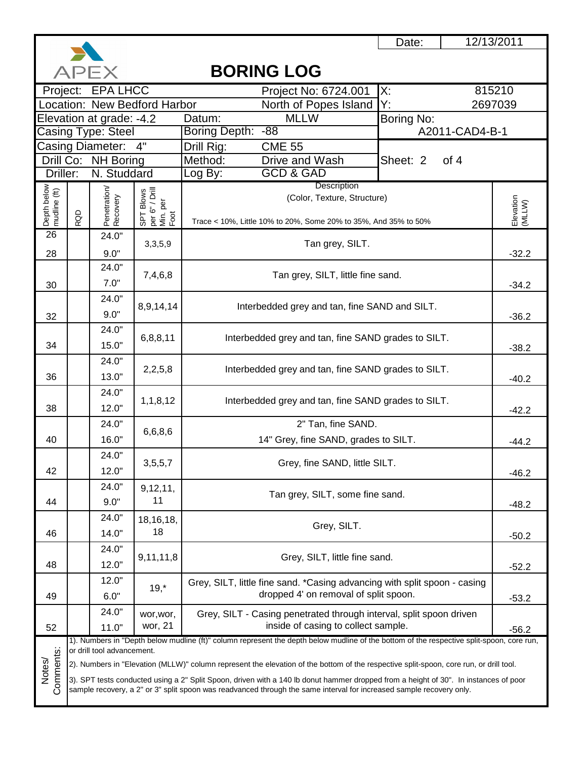

|                             | <b>BORING LOG</b><br>APEX |                            |                                                 |                                                                                                                                                                                                                                                              |                  |                     |  |  |  |
|-----------------------------|---------------------------|----------------------------|-------------------------------------------------|--------------------------------------------------------------------------------------------------------------------------------------------------------------------------------------------------------------------------------------------------------------|------------------|---------------------|--|--|--|
|                             |                           | Project: EPA LHCC          |                                                 | Project No: 6724.001                                                                                                                                                                                                                                         | X:               | 815210              |  |  |  |
|                             |                           |                            | Location: New Bedford Harbor                    | North of Popes Island                                                                                                                                                                                                                                        | Y.               | 2697039             |  |  |  |
|                             |                           | Elevation at grade: -4.2   |                                                 | <b>MLLW</b><br>Datum:                                                                                                                                                                                                                                        | Boring No:       |                     |  |  |  |
|                             |                           | Casing Type: Steel         |                                                 | Boring Depth:<br>$-88$                                                                                                                                                                                                                                       | A2011-CAD4-B-1   |                     |  |  |  |
|                             |                           | Casing Diameter:           | 4"                                              | Drill Rig:<br><b>CME 55</b>                                                                                                                                                                                                                                  |                  |                     |  |  |  |
|                             |                           | Drill Co: NH Boring        |                                                 | Method:<br>Drive and Wash                                                                                                                                                                                                                                    | of 4<br>Sheet: 2 |                     |  |  |  |
| Driller:                    |                           | N. Studdard                |                                                 | <b>GCD &amp; GAD</b><br>Log By:                                                                                                                                                                                                                              |                  |                     |  |  |  |
|                             |                           |                            |                                                 | Description<br>(Color, Texture, Structure)                                                                                                                                                                                                                   |                  |                     |  |  |  |
|                             |                           |                            |                                                 |                                                                                                                                                                                                                                                              |                  |                     |  |  |  |
| Depth below<br>mudline (ft) | RQD                       | Penetration/<br>Recovery   | SPT Blows<br>per 6" / Drill<br>Min. per<br>Foot | Trace < 10%, Little 10% to 20%, Some 20% to 35%, And 35% to 50%                                                                                                                                                                                              |                  | Elevation<br>(MLLW) |  |  |  |
| $\overline{26}$             |                           | 24.0"                      |                                                 |                                                                                                                                                                                                                                                              |                  |                     |  |  |  |
| 28                          |                           | 9.0"                       | 3,3,5,9                                         | Tan grey, SILT.                                                                                                                                                                                                                                              |                  | $-32.2$             |  |  |  |
|                             |                           | 24.0"                      |                                                 |                                                                                                                                                                                                                                                              |                  |                     |  |  |  |
| 30                          |                           | 7.0"                       | 7,4,6,8                                         | Tan grey, SILT, little fine sand.                                                                                                                                                                                                                            |                  | $-34.2$             |  |  |  |
|                             |                           | 24.0"                      |                                                 |                                                                                                                                                                                                                                                              |                  |                     |  |  |  |
|                             |                           | 9.0"                       | 8,9,14,14                                       | Interbedded grey and tan, fine SAND and SILT.                                                                                                                                                                                                                |                  |                     |  |  |  |
| 32                          |                           | 24.0"                      |                                                 |                                                                                                                                                                                                                                                              |                  | $-36.2$             |  |  |  |
|                             |                           |                            | 6,8,8,11                                        | Interbedded grey and tan, fine SAND grades to SILT.                                                                                                                                                                                                          | $-38.2$          |                     |  |  |  |
| 34                          |                           | 15.0"                      |                                                 |                                                                                                                                                                                                                                                              |                  |                     |  |  |  |
|                             |                           | 24.0"                      | 2,2,5,8                                         | Interbedded grey and tan, fine SAND grades to SILT.                                                                                                                                                                                                          |                  |                     |  |  |  |
| 36                          |                           | 13.0"                      |                                                 |                                                                                                                                                                                                                                                              |                  |                     |  |  |  |
|                             |                           | 24.0"                      | 1,1,8,12                                        |                                                                                                                                                                                                                                                              |                  |                     |  |  |  |
| 38                          |                           | 12.0"                      |                                                 | Interbedded grey and tan, fine SAND grades to SILT.                                                                                                                                                                                                          |                  | $-42.2$             |  |  |  |
|                             |                           | 24.0"                      | 6,6,8,6                                         | 2" Tan, fine SAND.                                                                                                                                                                                                                                           |                  |                     |  |  |  |
| 40                          |                           | 16.0"                      |                                                 | 14" Grey, fine SAND, grades to SILT.                                                                                                                                                                                                                         |                  | $-44.2$             |  |  |  |
|                             |                           | 24.0"                      |                                                 |                                                                                                                                                                                                                                                              |                  |                     |  |  |  |
| 42                          |                           | 12.0"                      | 3,5,5,7                                         | Grey, fine SAND, little SILT.                                                                                                                                                                                                                                |                  | $-46.2$             |  |  |  |
|                             |                           | 24.0"                      | 9, 12, 11,                                      |                                                                                                                                                                                                                                                              |                  |                     |  |  |  |
| 44                          |                           | 9.0"                       | 11                                              | Tan grey, SILT, some fine sand.                                                                                                                                                                                                                              |                  | $-48.2$             |  |  |  |
|                             |                           | 24.0"                      | 18, 16, 18,                                     |                                                                                                                                                                                                                                                              |                  |                     |  |  |  |
| 46                          |                           | 14.0"                      | 18                                              | Grey, SILT.                                                                                                                                                                                                                                                  |                  |                     |  |  |  |
|                             |                           | 24.0"                      |                                                 |                                                                                                                                                                                                                                                              |                  | $-50.2$             |  |  |  |
|                             |                           |                            | 9,11,11,8                                       | Grey, SILT, little fine sand.                                                                                                                                                                                                                                |                  |                     |  |  |  |
| 48                          |                           | 12.0"                      |                                                 |                                                                                                                                                                                                                                                              |                  | $-52.2$             |  |  |  |
|                             |                           | 12.0"                      | $19, *$                                         | Grey, SILT, little fine sand. *Casing advancing with split spoon - casing                                                                                                                                                                                    |                  |                     |  |  |  |
| 49                          |                           | 6.0"                       |                                                 | dropped 4' on removal of split spoon.                                                                                                                                                                                                                        |                  | $-53.2$             |  |  |  |
|                             |                           | 24.0"                      | wor, wor,                                       | Grey, SILT - Casing penetrated through interval, split spoon driven                                                                                                                                                                                          |                  |                     |  |  |  |
| 52                          |                           | 11.0"                      | wor, 21                                         | inside of casing to collect sample.                                                                                                                                                                                                                          |                  | $-56.2$             |  |  |  |
|                             |                           | or drill tool advancement. |                                                 | 1). Numbers in "Depth below mudline (ft)" column represent the depth below mudline of the bottom of the respective split-spoon, core run,                                                                                                                    |                  |                     |  |  |  |
| Comments:                   |                           |                            |                                                 | 2). Numbers in "Elevation (MLLW)" column represent the elevation of the bottom of the respective split-spoon, core run, or drill tool.                                                                                                                       |                  |                     |  |  |  |
| Notes/                      |                           |                            |                                                 |                                                                                                                                                                                                                                                              |                  |                     |  |  |  |
|                             |                           |                            |                                                 | 3). SPT tests conducted using a 2" Split Spoon, driven with a 140 lb donut hammer dropped from a height of 30". In instances of poor<br>sample recovery, a 2" or 3" split spoon was readvanced through the same interval for increased sample recovery only. |                  |                     |  |  |  |
|                             |                           |                            |                                                 |                                                                                                                                                                                                                                                              |                  |                     |  |  |  |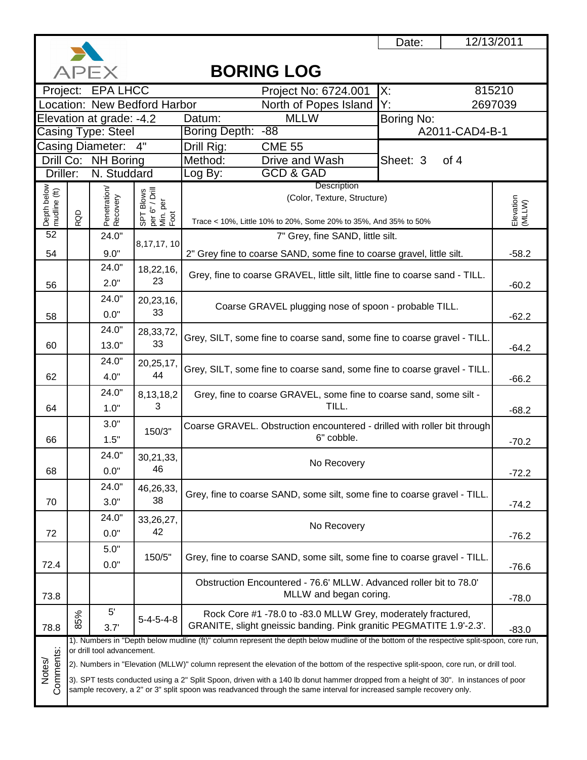

|                             |     | <b>APEX</b>                |                                                                           | <b>BORING LOG</b>                                                                                                                                                                                                                                            |                  |                     |  |  |  |  |
|-----------------------------|-----|----------------------------|---------------------------------------------------------------------------|--------------------------------------------------------------------------------------------------------------------------------------------------------------------------------------------------------------------------------------------------------------|------------------|---------------------|--|--|--|--|
|                             |     | Project: EPA LHCC          |                                                                           | Project No: 6724.001                                                                                                                                                                                                                                         | $\mathsf{X}$ :   | 815210              |  |  |  |  |
|                             |     |                            | Location: New Bedford Harbor                                              | North of Popes Island                                                                                                                                                                                                                                        | Y.               | 2697039             |  |  |  |  |
|                             |     | Elevation at grade: -4.2   |                                                                           | <b>MLLW</b><br>Datum:                                                                                                                                                                                                                                        | Boring No:       |                     |  |  |  |  |
| Casing Type: Steel          |     |                            |                                                                           | $-88$<br>Boring Depth:                                                                                                                                                                                                                                       | A2011-CAD4-B-1   |                     |  |  |  |  |
|                             |     | Casing Diameter:           | 4"                                                                        | Drill Rig:<br><b>CME 55</b>                                                                                                                                                                                                                                  |                  |                     |  |  |  |  |
|                             |     | Drill Co: NH Boring        |                                                                           | Method:<br>Drive and Wash                                                                                                                                                                                                                                    | of 4<br>Sheet: 3 |                     |  |  |  |  |
| Driller:                    |     | N. Studdard                |                                                                           | <b>GCD &amp; GAD</b><br>Log By:                                                                                                                                                                                                                              |                  |                     |  |  |  |  |
|                             |     |                            |                                                                           | Description<br>(Color, Texture, Structure)                                                                                                                                                                                                                   |                  |                     |  |  |  |  |
|                             |     |                            |                                                                           |                                                                                                                                                                                                                                                              |                  |                     |  |  |  |  |
| Depth below<br>mudline (ft) | RQD | Penetration/<br>Recovery   | $\frac{1}{2}$ $\frac{1}{2}$ F Blows<br>per 6" / Drill<br>Min. per<br>Foot | Trace < 10%, Little 10% to 20%, Some 20% to 35%, And 35% to 50%                                                                                                                                                                                              |                  | Elevation<br>(MLLW) |  |  |  |  |
| 52                          |     | 24.0"                      |                                                                           | 7" Grey, fine SAND, little silt.                                                                                                                                                                                                                             |                  |                     |  |  |  |  |
| 54                          |     | 9.0"                       | 8,17,17,10                                                                | 2" Grey fine to coarse SAND, some fine to coarse gravel, little silt.                                                                                                                                                                                        |                  | $-58.2$             |  |  |  |  |
|                             |     | 24.0"                      | 18,22,16,                                                                 |                                                                                                                                                                                                                                                              |                  |                     |  |  |  |  |
| 56                          |     | 2.0"                       | 23                                                                        | Grey, fine to coarse GRAVEL, little silt, little fine to coarse sand - TILL.                                                                                                                                                                                 |                  | $-60.2$             |  |  |  |  |
|                             |     | 24.0"                      | 20,23,16,                                                                 |                                                                                                                                                                                                                                                              |                  |                     |  |  |  |  |
|                             |     | 0.0"                       | 33                                                                        | Coarse GRAVEL plugging nose of spoon - probable TILL.                                                                                                                                                                                                        |                  | $-62.2$             |  |  |  |  |
| 58                          |     |                            |                                                                           |                                                                                                                                                                                                                                                              |                  |                     |  |  |  |  |
|                             |     | 24.0"                      | 28,33,72,<br>33                                                           | Grey, SILT, some fine to coarse sand, some fine to coarse gravel - TILL.                                                                                                                                                                                     | $-64.2$          |                     |  |  |  |  |
| 60                          |     | 13.0"                      |                                                                           |                                                                                                                                                                                                                                                              |                  |                     |  |  |  |  |
|                             |     | 24.0"                      | 20,25,17,                                                                 | Grey, SILT, some fine to coarse sand, some fine to coarse gravel - TILL.                                                                                                                                                                                     |                  |                     |  |  |  |  |
| 62                          |     | 4.0"                       | 44                                                                        |                                                                                                                                                                                                                                                              |                  |                     |  |  |  |  |
|                             |     | 24.0"                      | 8, 13, 18, 2                                                              | Grey, fine to coarse GRAVEL, some fine to coarse sand, some silt -                                                                                                                                                                                           |                  |                     |  |  |  |  |
| 64                          |     | 1.0"                       | 3                                                                         | TILL.                                                                                                                                                                                                                                                        | $-68.2$          |                     |  |  |  |  |
|                             |     | 3.0"                       | 150/3"                                                                    | Coarse GRAVEL. Obstruction encountered - drilled with roller bit through                                                                                                                                                                                     |                  |                     |  |  |  |  |
| 66                          |     | 1.5"                       |                                                                           | 6" cobble.                                                                                                                                                                                                                                                   |                  | $-70.2$             |  |  |  |  |
|                             |     | 24.0"                      | 30,21,33,                                                                 |                                                                                                                                                                                                                                                              |                  |                     |  |  |  |  |
| 68                          |     | 0.0"                       | 46                                                                        | No Recovery                                                                                                                                                                                                                                                  |                  | $-72.2$             |  |  |  |  |
|                             |     | 24.0"                      | 46,26,33,                                                                 |                                                                                                                                                                                                                                                              |                  |                     |  |  |  |  |
| 70                          |     | 3.0"                       | 38                                                                        | Grey, fine to coarse SAND, some silt, some fine to coarse gravel - TILL.                                                                                                                                                                                     |                  | $-74.2$             |  |  |  |  |
|                             |     | 24.0"                      |                                                                           |                                                                                                                                                                                                                                                              |                  |                     |  |  |  |  |
| 72                          |     | 0.0"                       | 33,26,27,<br>42                                                           | No Recovery                                                                                                                                                                                                                                                  |                  |                     |  |  |  |  |
|                             |     |                            |                                                                           |                                                                                                                                                                                                                                                              |                  | $-76.2$             |  |  |  |  |
|                             |     | 5.0"                       | 150/5"                                                                    | Grey, fine to coarse SAND, some silt, some fine to coarse gravel - TILL.                                                                                                                                                                                     |                  |                     |  |  |  |  |
| 72.4                        |     | 0.0"                       |                                                                           |                                                                                                                                                                                                                                                              |                  | $-76.6$             |  |  |  |  |
|                             |     |                            |                                                                           | Obstruction Encountered - 76.6' MLLW. Advanced roller bit to 78.0'                                                                                                                                                                                           |                  |                     |  |  |  |  |
| 73.8                        |     |                            |                                                                           | MLLW and began coring.                                                                                                                                                                                                                                       |                  | $-78.0$             |  |  |  |  |
|                             | 85% | 5'                         | $5 - 4 - 5 - 4 - 8$                                                       | Rock Core #1 -78.0 to -83.0 MLLW Grey, moderately fractured,                                                                                                                                                                                                 |                  |                     |  |  |  |  |
| 78.8                        |     | 3.7'                       |                                                                           | GRANITE, slight gneissic banding. Pink granitic PEGMATITE 1.9'-2.3'.                                                                                                                                                                                         |                  | $-83.0$             |  |  |  |  |
|                             |     |                            |                                                                           | 1). Numbers in "Depth below mudline (ft)" column represent the depth below mudline of the bottom of the respective split-spoon, core run,                                                                                                                    |                  |                     |  |  |  |  |
|                             |     | or drill tool advancement. |                                                                           | 2). Numbers in "Elevation (MLLW)" column represent the elevation of the bottom of the respective split-spoon, core run, or drill tool.                                                                                                                       |                  |                     |  |  |  |  |
| Comments:<br>Notes/         |     |                            |                                                                           |                                                                                                                                                                                                                                                              |                  |                     |  |  |  |  |
|                             |     |                            |                                                                           | 3). SPT tests conducted using a 2" Split Spoon, driven with a 140 lb donut hammer dropped from a height of 30". In instances of poor<br>sample recovery, a 2" or 3" split spoon was readvanced through the same interval for increased sample recovery only. |                  |                     |  |  |  |  |
|                             |     |                            |                                                                           |                                                                                                                                                                                                                                                              |                  |                     |  |  |  |  |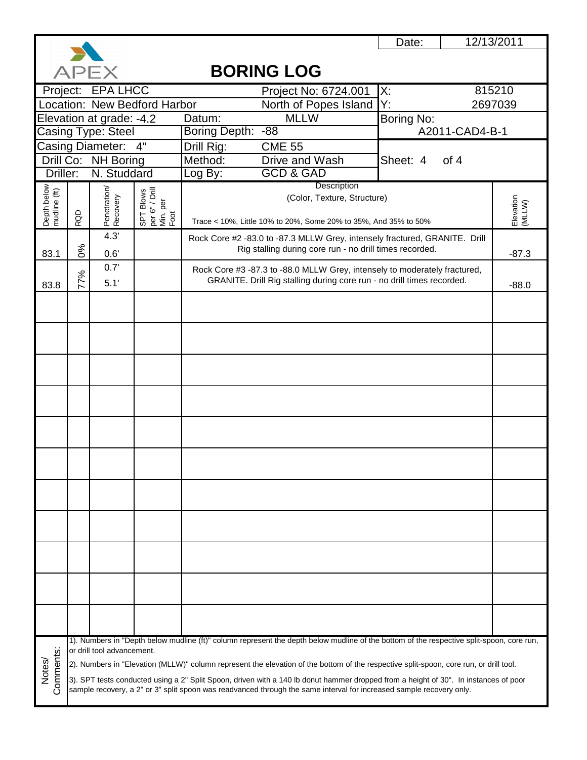

| 815210<br>Project: EPA LHCC<br>X:<br>Project No: 6724.001<br>Location: New Bedford Harbor<br>2697039<br>North of Popes Island<br>Y.<br>Elevation at grade: -4.2<br><b>MLLW</b><br>Boring No:<br>Datum:<br>Boring Depth: -88<br>Casing Type: Steel<br>A2011-CAD4-B-1<br><b>Casing Diameter:</b><br>4"<br>Drill Rig:<br><b>CME 55</b><br>Drill Co: NH Boring<br>Method:<br>Drive and Wash<br>Sheet: 4<br>of 4<br><b>GCD &amp; GAD</b><br>Driller:<br>N. Studdard<br>Log By:<br>Description<br>Depth below<br>mudline (ft)<br>Penetration/<br>Recovery<br>SPT Blows<br>per 6" / Drill<br>Min. per<br>Foot<br>(Color, Texture, Structure)<br>Elevation<br>(MLLW) |
|--------------------------------------------------------------------------------------------------------------------------------------------------------------------------------------------------------------------------------------------------------------------------------------------------------------------------------------------------------------------------------------------------------------------------------------------------------------------------------------------------------------------------------------------------------------------------------------------------------------------------------------------------------------|
|                                                                                                                                                                                                                                                                                                                                                                                                                                                                                                                                                                                                                                                              |
|                                                                                                                                                                                                                                                                                                                                                                                                                                                                                                                                                                                                                                                              |
|                                                                                                                                                                                                                                                                                                                                                                                                                                                                                                                                                                                                                                                              |
|                                                                                                                                                                                                                                                                                                                                                                                                                                                                                                                                                                                                                                                              |
|                                                                                                                                                                                                                                                                                                                                                                                                                                                                                                                                                                                                                                                              |
|                                                                                                                                                                                                                                                                                                                                                                                                                                                                                                                                                                                                                                                              |
|                                                                                                                                                                                                                                                                                                                                                                                                                                                                                                                                                                                                                                                              |
|                                                                                                                                                                                                                                                                                                                                                                                                                                                                                                                                                                                                                                                              |
|                                                                                                                                                                                                                                                                                                                                                                                                                                                                                                                                                                                                                                                              |
| RQD<br>Trace < 10%, Little 10% to 20%, Some 20% to 35%, And 35% to 50%                                                                                                                                                                                                                                                                                                                                                                                                                                                                                                                                                                                       |
| 4.3'<br>Rock Core #2 -83.0 to -87.3 MLLW Grey, intensely fractured, GRANITE. Drill                                                                                                                                                                                                                                                                                                                                                                                                                                                                                                                                                                           |
| 0%<br>Rig stalling during core run - no drill times recorded.<br>83.1<br>0.6'<br>$-87.3$                                                                                                                                                                                                                                                                                                                                                                                                                                                                                                                                                                     |
| 0.7'<br>Rock Core #3 -87.3 to -88.0 MLLW Grey, intensely to moderately fractured,                                                                                                                                                                                                                                                                                                                                                                                                                                                                                                                                                                            |
| 77%<br>GRANITE. Drill Rig stalling during core run - no drill times recorded.<br>5.1'<br>83.8<br>$-88.0$                                                                                                                                                                                                                                                                                                                                                                                                                                                                                                                                                     |
|                                                                                                                                                                                                                                                                                                                                                                                                                                                                                                                                                                                                                                                              |
|                                                                                                                                                                                                                                                                                                                                                                                                                                                                                                                                                                                                                                                              |
|                                                                                                                                                                                                                                                                                                                                                                                                                                                                                                                                                                                                                                                              |
|                                                                                                                                                                                                                                                                                                                                                                                                                                                                                                                                                                                                                                                              |
|                                                                                                                                                                                                                                                                                                                                                                                                                                                                                                                                                                                                                                                              |
|                                                                                                                                                                                                                                                                                                                                                                                                                                                                                                                                                                                                                                                              |
|                                                                                                                                                                                                                                                                                                                                                                                                                                                                                                                                                                                                                                                              |
|                                                                                                                                                                                                                                                                                                                                                                                                                                                                                                                                                                                                                                                              |
|                                                                                                                                                                                                                                                                                                                                                                                                                                                                                                                                                                                                                                                              |
|                                                                                                                                                                                                                                                                                                                                                                                                                                                                                                                                                                                                                                                              |
|                                                                                                                                                                                                                                                                                                                                                                                                                                                                                                                                                                                                                                                              |
|                                                                                                                                                                                                                                                                                                                                                                                                                                                                                                                                                                                                                                                              |
|                                                                                                                                                                                                                                                                                                                                                                                                                                                                                                                                                                                                                                                              |
|                                                                                                                                                                                                                                                                                                                                                                                                                                                                                                                                                                                                                                                              |
|                                                                                                                                                                                                                                                                                                                                                                                                                                                                                                                                                                                                                                                              |
|                                                                                                                                                                                                                                                                                                                                                                                                                                                                                                                                                                                                                                                              |
|                                                                                                                                                                                                                                                                                                                                                                                                                                                                                                                                                                                                                                                              |
|                                                                                                                                                                                                                                                                                                                                                                                                                                                                                                                                                                                                                                                              |
|                                                                                                                                                                                                                                                                                                                                                                                                                                                                                                                                                                                                                                                              |
|                                                                                                                                                                                                                                                                                                                                                                                                                                                                                                                                                                                                                                                              |
|                                                                                                                                                                                                                                                                                                                                                                                                                                                                                                                                                                                                                                                              |
|                                                                                                                                                                                                                                                                                                                                                                                                                                                                                                                                                                                                                                                              |
|                                                                                                                                                                                                                                                                                                                                                                                                                                                                                                                                                                                                                                                              |
| 1). Numbers in "Depth below mudline (ft)" column represent the depth below mudline of the bottom of the respective split-spoon, core run,                                                                                                                                                                                                                                                                                                                                                                                                                                                                                                                    |
| or drill tool advancement.                                                                                                                                                                                                                                                                                                                                                                                                                                                                                                                                                                                                                                   |
| Notes/<br>2). Numbers in "Elevation (MLLW)" column represent the elevation of the bottom of the respective split-spoon, core run, or drill tool.                                                                                                                                                                                                                                                                                                                                                                                                                                                                                                             |
| Comments:<br>3). SPT tests conducted using a 2" Split Spoon, driven with a 140 lb donut hammer dropped from a height of 30". In instances of poor<br>sample recovery, a 2" or 3" split spoon was readvanced through the same interval for increased sample recovery only.                                                                                                                                                                                                                                                                                                                                                                                    |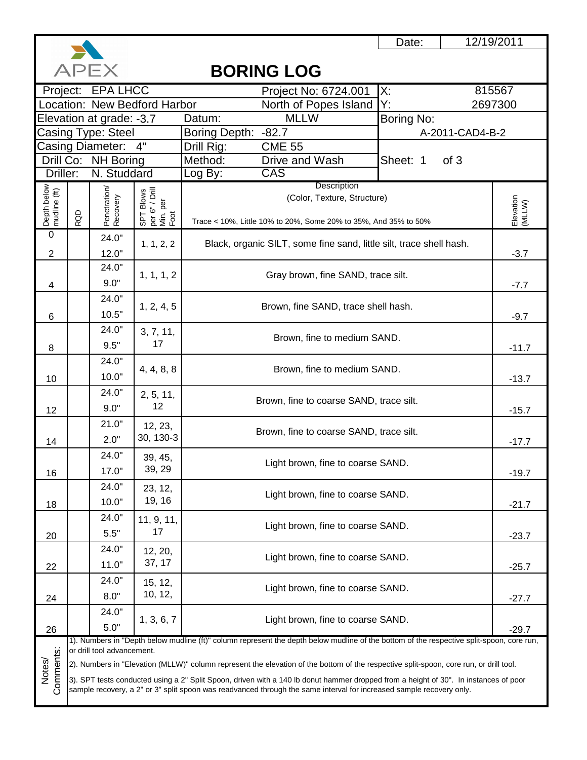

12/19/2011

**APFX BORING LOG** Project No: 6724.001 X: 815567 Project: EPA LHCC North of Popes Island Y:<br>MLLW Bo 2697300 Location: New Bedford Harbor Elevation at grade: -3.7 Datum: Boring No: Casing Type: Steel Boring Depth: -82.7<br>Drill Rig: CME 55 A-2011-CAD4-B-2 Casing Diameter: Drill Rig: Method: Drive and Wash **Sheet: 1** of 3 <u>Drill Co: NH Boring</u> Driller: N. Studdard | Log By: CAS **Description** Depth below<br>mudline (ft)<br>RQD Penetration/<br>Recovery Penetration/ per 6" / Drill SPT Blows (Color, Texture, Structure) Elevation<br>(MLLW) Elevation Min. per Foot Trace < 10%, Little 10% to 20%, Some 20% to 35%, And 35% to 50%  $\overline{0}$ 24.0" 1, 1, 2, 2 Black, organic SILT, some fine sand, little silt, trace shell hash. 2 12.0" -3.7 24.0" 1, 1, 1, 2 Gray brown, fine SAND, trace silt. 9.0" 4 -7.7 24.0" 1, 2, 4, 5 Brown, fine SAND, trace shell hash. 10.5" 6 -9.7 24.0" 3, 7, 11, Brown, fine to medium SAND. 9.5" 17 8 -11.7 24.0" 4, 4, 8, 8 Brown, fine to medium SAND. 10.0" 10 -13.7 24.0" 2, 5, 11, Brown, fine to coarse SAND, trace silt. 9.0" 12 12 -15.7 21.0" 12, 23,  $2.0^{\circ}$   $30, 130.3$  Brown, fine to coarse SAND, trace silt. 30, 130-3 14-17.7 24.0" 39, 45, Light brown, fine to coarse SAND. 39, 29 17.0" 16 -19.7 24.0" 23, 12, Light brown, fine to coarse SAND. 19, 16 10.0" 18 -21.7 24.0" 11, 9, 11, Light brown, fine to coarse SAND. 17 5.5" 20 -23.7 24.0" 12, 20, Light brown, fine to coarse SAND. 37, 17 11.0" 22 -25.7 24.0" 15, 12, 10, 12, Light brown, fine to coarse SAND. 8.0" 24 -27.7 24.0" 1, 3, 6, 7 Light brown, fine to coarse SAND. 5.0" 26 -29.7 1). Numbers in "Depth below mudline (ft)" column represent the depth below mudline of the bottom of the respective split-spoon, core run, Comments: or drill tool advancement. Comments: Notes/ 2). Numbers in "Elevation (MLLW)" column represent the elevation of the bottom of the respective split-spoon, core run, or drill tool. 3). SPT tests conducted using a 2" Split Spoon, driven with a 140 lb donut hammer dropped from a height of 30". In instances of poor sample recovery, a 2" or 3" split spoon was readvanced through the same interval for increased sample recovery only.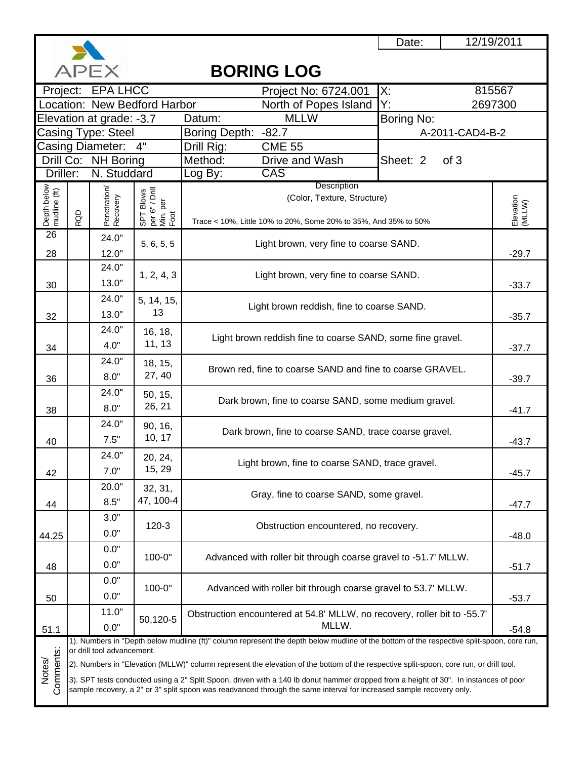

# 12/19/2011

# **BORING LOG**

| ハーヒヘ<br>DUNINU LUU          |                                                                                                                      |                            |                                                 |                                                                                                                                           |                  |                     |  |  |
|-----------------------------|----------------------------------------------------------------------------------------------------------------------|----------------------------|-------------------------------------------------|-------------------------------------------------------------------------------------------------------------------------------------------|------------------|---------------------|--|--|
|                             |                                                                                                                      | Project: EPA LHCC          |                                                 | Project No: 6724.001                                                                                                                      | X:               | 815567              |  |  |
|                             |                                                                                                                      |                            | Location: New Bedford Harbor                    | North of Popes Island                                                                                                                     | Y:               | 2697300             |  |  |
|                             |                                                                                                                      | Elevation at grade: -3.7   |                                                 | <b>MLLW</b><br>Datum:                                                                                                                     | Boring No:       |                     |  |  |
|                             |                                                                                                                      | Casing Type: Steel         |                                                 | <b>Boring Depth:</b><br>$-82.7$                                                                                                           | A-2011-CAD4-B-2  |                     |  |  |
| Casing Diameter: 4"         |                                                                                                                      |                            |                                                 | Drill Rig:<br><b>CME 55</b>                                                                                                               |                  |                     |  |  |
|                             |                                                                                                                      | Drill Co: NH Boring        |                                                 | Method:<br>Drive and Wash                                                                                                                 | Sheet: 2<br>of 3 |                     |  |  |
| Driller:                    |                                                                                                                      | N. Studdard                |                                                 | CAS<br>Log By:                                                                                                                            |                  |                     |  |  |
| Depth below<br>mudline (ft) |                                                                                                                      | Penetration/<br>Recovery   | Description                                     |                                                                                                                                           |                  |                     |  |  |
|                             |                                                                                                                      |                            |                                                 | (Color, Texture, Structure)                                                                                                               |                  |                     |  |  |
|                             | RQD                                                                                                                  |                            | SPT Blows<br>per 6" / Drill<br>Min. per<br>Foot | Trace < 10%, Little 10% to 20%, Some 20% to 35%, And 35% to 50%                                                                           |                  | Elevation<br>(MLLW) |  |  |
| 26                          |                                                                                                                      | 24.0"                      |                                                 |                                                                                                                                           |                  |                     |  |  |
| 28                          |                                                                                                                      | 12.0"                      | 5, 6, 5, 5                                      | Light brown, very fine to coarse SAND.                                                                                                    |                  | $-29.7$             |  |  |
|                             |                                                                                                                      | 24.0"                      |                                                 |                                                                                                                                           |                  |                     |  |  |
| 30                          |                                                                                                                      | 13.0"                      | 1, 2, 4, 3                                      | Light brown, very fine to coarse SAND.                                                                                                    |                  | $-33.7$             |  |  |
|                             |                                                                                                                      | 24.0"                      |                                                 |                                                                                                                                           |                  |                     |  |  |
|                             |                                                                                                                      | 13.0"                      | 5, 14, 15,<br>13                                | Light brown reddish, fine to coarse SAND.                                                                                                 |                  |                     |  |  |
| 32                          |                                                                                                                      | 24.0"                      |                                                 |                                                                                                                                           |                  | $-35.7$             |  |  |
|                             |                                                                                                                      |                            | 16, 18,<br>11, 13                               | Light brown reddish fine to coarse SAND, some fine gravel.                                                                                |                  |                     |  |  |
| 34                          |                                                                                                                      | 4.0"                       |                                                 |                                                                                                                                           | $-37.7$          |                     |  |  |
|                             |                                                                                                                      | 24.0"                      | 18, 15,                                         | Brown red, fine to coarse SAND and fine to coarse GRAVEL.                                                                                 |                  |                     |  |  |
| 36                          |                                                                                                                      | 8.0"                       | 27, 40                                          | $-39.7$                                                                                                                                   |                  |                     |  |  |
|                             |                                                                                                                      | 24.0"                      | 50, 15,                                         | Dark brown, fine to coarse SAND, some medium gravel.                                                                                      |                  |                     |  |  |
| 38                          |                                                                                                                      | 8.0"                       | 26, 21                                          |                                                                                                                                           | $-41.7$          |                     |  |  |
|                             |                                                                                                                      | 24.0"                      | 90, 16,                                         | Dark brown, fine to coarse SAND, trace coarse gravel.                                                                                     |                  |                     |  |  |
| 40                          |                                                                                                                      | 7.5"                       | 10, 17                                          |                                                                                                                                           |                  | $-43.7$             |  |  |
|                             |                                                                                                                      | 24.0"                      | 20, 24,                                         |                                                                                                                                           |                  |                     |  |  |
| 42                          |                                                                                                                      | 7.0"                       | 15, 29                                          | Light brown, fine to coarse SAND, trace gravel.                                                                                           |                  | $-45.7$             |  |  |
|                             |                                                                                                                      | 20.0"                      | 32, 31,                                         |                                                                                                                                           |                  |                     |  |  |
| 44                          |                                                                                                                      | 8.5"                       | 47, 100-4                                       | Gray, fine to coarse SAND, some gravel.                                                                                                   |                  | -47.7               |  |  |
|                             |                                                                                                                      | 3.0"                       |                                                 |                                                                                                                                           |                  |                     |  |  |
|                             |                                                                                                                      | 0.0"                       | $120-3$                                         | Obstruction encountered, no recovery.                                                                                                     |                  |                     |  |  |
| 44.25                       |                                                                                                                      | 0.0"                       |                                                 |                                                                                                                                           |                  | $-48.0$             |  |  |
|                             |                                                                                                                      |                            | 100-0"                                          | Advanced with roller bit through coarse gravel to -51.7' MLLW.                                                                            |                  |                     |  |  |
| 48                          |                                                                                                                      | 0.0"                       |                                                 |                                                                                                                                           |                  | $-51.7$             |  |  |
|                             |                                                                                                                      | 0.0"                       | 100-0"                                          | Advanced with roller bit through coarse gravel to 53.7' MLLW.                                                                             |                  |                     |  |  |
| 50                          |                                                                                                                      | 0.0"                       |                                                 |                                                                                                                                           |                  | $-53.7$             |  |  |
|                             |                                                                                                                      | 11.0"                      | 50,120-5                                        | Obstruction encountered at 54.8' MLLW, no recovery, roller bit to -55.7'                                                                  |                  |                     |  |  |
| 51.1                        |                                                                                                                      | 0.0"                       |                                                 | MLLW.                                                                                                                                     |                  | $-54.8$             |  |  |
|                             |                                                                                                                      | or drill tool advancement. |                                                 | 1). Numbers in "Depth below mudline (ft)" column represent the depth below mudline of the bottom of the respective split-spoon, core run, |                  |                     |  |  |
| Comments:                   |                                                                                                                      |                            |                                                 | 2). Numbers in "Elevation (MLLW)" column represent the elevation of the bottom of the respective split-spoon, core run, or drill tool.    |                  |                     |  |  |
| Notes/                      |                                                                                                                      |                            |                                                 | 3). SPT tests conducted using a 2" Split Spoon, driven with a 140 lb donut hammer dropped from a height of 30". In instances of poor      |                  |                     |  |  |
|                             |                                                                                                                      |                            |                                                 |                                                                                                                                           |                  |                     |  |  |
|                             | sample recovery, a 2" or 3" split spoon was readvanced through the same interval for increased sample recovery only. |                            |                                                 |                                                                                                                                           |                  |                     |  |  |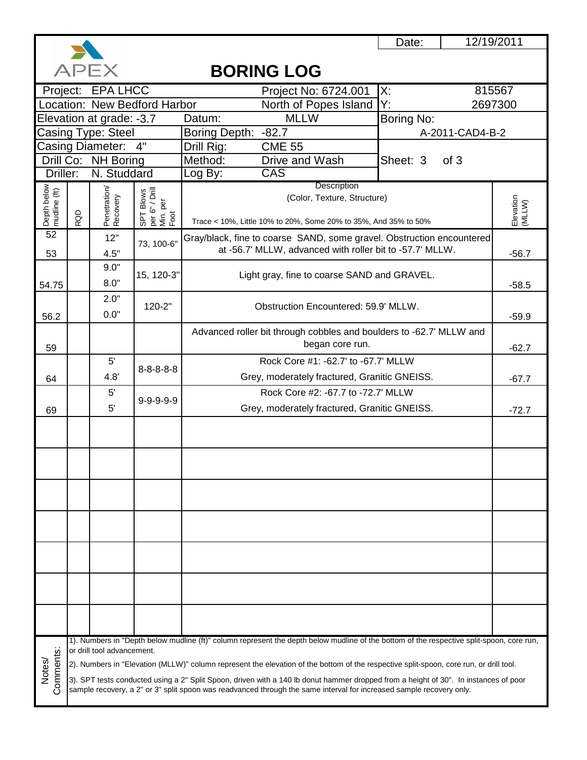

# **BORING LOG**

| ハーヒヘ<br>DUNINU LUU          |     |                            |                                                 |                                                                                                                                                                                                                                                              |                                     |                     |  |  |
|-----------------------------|-----|----------------------------|-------------------------------------------------|--------------------------------------------------------------------------------------------------------------------------------------------------------------------------------------------------------------------------------------------------------------|-------------------------------------|---------------------|--|--|
|                             |     | Project: EPA LHCC          |                                                 | Project No: 6724.001                                                                                                                                                                                                                                         | 815567<br>X:                        |                     |  |  |
|                             |     |                            | Location: New Bedford Harbor                    | North of Popes Island                                                                                                                                                                                                                                        | Y.                                  | 2697300             |  |  |
|                             |     | Elevation at grade: -3.7   |                                                 | <b>MLLW</b><br>Datum:                                                                                                                                                                                                                                        | Boring No:                          |                     |  |  |
| Casing Type: Steel          |     |                            |                                                 | <b>Boring Depth:</b><br>$-82.7$                                                                                                                                                                                                                              | A-2011-CAD4-B-2                     |                     |  |  |
|                             |     | Casing Diameter:           | 4"                                              | <b>CME 55</b><br>Drill Rig:                                                                                                                                                                                                                                  |                                     |                     |  |  |
|                             |     | Drill Co: NH Boring        |                                                 | Method:<br>Drive and Wash                                                                                                                                                                                                                                    | Sheet: 3<br>of 3                    |                     |  |  |
| Driller:                    |     | N. Studdard                |                                                 | CAS<br>Log By:                                                                                                                                                                                                                                               |                                     |                     |  |  |
|                             |     |                            |                                                 | Description<br>(Color, Texture, Structure)                                                                                                                                                                                                                   |                                     |                     |  |  |
|                             |     |                            |                                                 |                                                                                                                                                                                                                                                              |                                     |                     |  |  |
| Depth below<br>mudline (ft) | RQD | Penetration/<br>Recovery   | SPT Blows<br>per 6" / Drill<br>Min. per<br>Foot | Trace < 10%, Little 10% to 20%, Some 20% to 35%, And 35% to 50%                                                                                                                                                                                              |                                     | Elevation<br>(MLLW) |  |  |
| 52                          |     | 12"                        |                                                 | Gray/black, fine to coarse SAND, some gravel. Obstruction encountered                                                                                                                                                                                        |                                     |                     |  |  |
| 53                          |     | 4.5"                       | 73, 100-6"                                      | at -56.7' MLLW, advanced with roller bit to -57.7' MLLW.                                                                                                                                                                                                     |                                     | $-56.7$             |  |  |
|                             |     | 9.0"                       |                                                 |                                                                                                                                                                                                                                                              |                                     |                     |  |  |
|                             |     | 8.0"                       | 15, 120-3"                                      | Light gray, fine to coarse SAND and GRAVEL.                                                                                                                                                                                                                  |                                     |                     |  |  |
| 54.75                       |     | 2.0"                       |                                                 |                                                                                                                                                                                                                                                              |                                     | $-58.5$             |  |  |
|                             |     |                            | 120-2"                                          | Obstruction Encountered: 59.9' MLLW.                                                                                                                                                                                                                         |                                     |                     |  |  |
| 56.2                        |     | 0.0"                       |                                                 |                                                                                                                                                                                                                                                              |                                     | $-59.9$             |  |  |
|                             |     |                            |                                                 | Advanced roller bit through cobbles and boulders to -62.7' MLLW and                                                                                                                                                                                          |                                     |                     |  |  |
| 59                          |     |                            |                                                 | began core run.                                                                                                                                                                                                                                              |                                     | $-62.7$             |  |  |
|                             |     | $5^{\prime}$               | $8 - 8 - 8 - 8$                                 |                                                                                                                                                                                                                                                              | Rock Core #1: -62.7' to -67.7' MLLW |                     |  |  |
| 64                          |     | 4.8'                       |                                                 | Grey, moderately fractured, Granitic GNEISS.                                                                                                                                                                                                                 | $-67.7$                             |                     |  |  |
|                             |     | $5^{\prime}$               | $9 - 9 - 9 - 9 - 9$                             | Rock Core #2: -67.7 to -72.7' MLLW                                                                                                                                                                                                                           |                                     |                     |  |  |
| 69                          |     | 5'                         |                                                 | Grey, moderately fractured, Granitic GNEISS.                                                                                                                                                                                                                 | $-72.7$                             |                     |  |  |
|                             |     |                            |                                                 |                                                                                                                                                                                                                                                              |                                     |                     |  |  |
|                             |     |                            |                                                 |                                                                                                                                                                                                                                                              |                                     |                     |  |  |
|                             |     |                            |                                                 |                                                                                                                                                                                                                                                              |                                     |                     |  |  |
|                             |     |                            |                                                 |                                                                                                                                                                                                                                                              |                                     |                     |  |  |
|                             |     |                            |                                                 |                                                                                                                                                                                                                                                              |                                     |                     |  |  |
|                             |     |                            |                                                 |                                                                                                                                                                                                                                                              |                                     |                     |  |  |
|                             |     |                            |                                                 |                                                                                                                                                                                                                                                              |                                     |                     |  |  |
|                             |     |                            |                                                 |                                                                                                                                                                                                                                                              |                                     |                     |  |  |
|                             |     |                            |                                                 |                                                                                                                                                                                                                                                              |                                     |                     |  |  |
|                             |     |                            |                                                 |                                                                                                                                                                                                                                                              |                                     |                     |  |  |
|                             |     |                            |                                                 |                                                                                                                                                                                                                                                              |                                     |                     |  |  |
|                             |     |                            |                                                 |                                                                                                                                                                                                                                                              |                                     |                     |  |  |
|                             |     |                            |                                                 |                                                                                                                                                                                                                                                              |                                     |                     |  |  |
|                             |     |                            |                                                 |                                                                                                                                                                                                                                                              |                                     |                     |  |  |
|                             |     |                            |                                                 |                                                                                                                                                                                                                                                              |                                     |                     |  |  |
|                             |     |                            |                                                 | 1). Numbers in "Depth below mudline (ft)" column represent the depth below mudline of the bottom of the respective split-spoon, core run,                                                                                                                    |                                     |                     |  |  |
| Comments:                   |     | or drill tool advancement. |                                                 |                                                                                                                                                                                                                                                              |                                     |                     |  |  |
| Notes/                      |     |                            |                                                 | 2). Numbers in "Elevation (MLLW)" column represent the elevation of the bottom of the respective split-spoon, core run, or drill tool.                                                                                                                       |                                     |                     |  |  |
|                             |     |                            |                                                 | 3). SPT tests conducted using a 2" Split Spoon, driven with a 140 lb donut hammer dropped from a height of 30". In instances of poor<br>sample recovery, a 2" or 3" split spoon was readvanced through the same interval for increased sample recovery only. |                                     |                     |  |  |
|                             |     |                            |                                                 |                                                                                                                                                                                                                                                              |                                     |                     |  |  |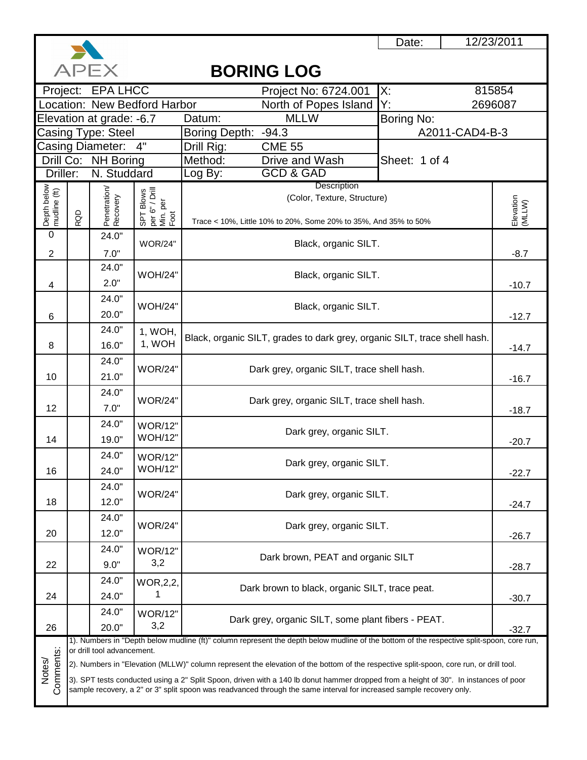

12/23/2011

|                                                                                                                      | APEX<br><b>BORING LOG</b> |                                                                                                                                                                                                                                                                                                                                                                                                   |                                  |                                                                                                                                           |                |                     |  |  |  |  |
|----------------------------------------------------------------------------------------------------------------------|---------------------------|---------------------------------------------------------------------------------------------------------------------------------------------------------------------------------------------------------------------------------------------------------------------------------------------------------------------------------------------------------------------------------------------------|----------------------------------|-------------------------------------------------------------------------------------------------------------------------------------------|----------------|---------------------|--|--|--|--|
|                                                                                                                      |                           | Project: EPA LHCC                                                                                                                                                                                                                                                                                                                                                                                 |                                  | Project No: 6724.001                                                                                                                      | X.             | 815854              |  |  |  |  |
|                                                                                                                      |                           |                                                                                                                                                                                                                                                                                                                                                                                                   | Location: New Bedford Harbor     | North of Popes Island                                                                                                                     | Y.             | 2696087             |  |  |  |  |
|                                                                                                                      |                           | Elevation at grade: -6.7                                                                                                                                                                                                                                                                                                                                                                          |                                  | <b>MLLW</b><br>Datum:                                                                                                                     | Boring No:     |                     |  |  |  |  |
| Casing Type: Steel                                                                                                   |                           |                                                                                                                                                                                                                                                                                                                                                                                                   |                                  | $-94.3$<br>Boring Depth:                                                                                                                  | A2011-CAD4-B-3 |                     |  |  |  |  |
|                                                                                                                      |                           | <b>Casing Diameter:</b>                                                                                                                                                                                                                                                                                                                                                                           | $-4"$                            | <b>CME 55</b><br>Drill Rig:                                                                                                               |                |                     |  |  |  |  |
|                                                                                                                      |                           | Drill Co: NH Boring                                                                                                                                                                                                                                                                                                                                                                               |                                  | Method:<br>Drive and Wash                                                                                                                 | Sheet: 1 of 4  |                     |  |  |  |  |
| Driller:                                                                                                             |                           | N. Studdard                                                                                                                                                                                                                                                                                                                                                                                       |                                  | <b>GCD &amp; GAD</b><br>Log By:<br>Description                                                                                            |                |                     |  |  |  |  |
| Depth below<br>mudline (ft)                                                                                          |                           | Penetration/<br>Recovery<br>$\begin{bmatrix} 1 & -1 & 0 \\ 0 & 0 & 1 \\ 0 & 0 & 0 \\ 0 & 0 & 0 \\ 0 & 0 & 0 \\ 0 & 0 & 0 \\ 0 & 0 & 0 \\ 0 & 0 & 0 \\ 0 & 0 & 0 \\ 0 & 0 & 0 \\ 0 & 0 & 0 \\ 0 & 0 & 0 \\ 0 & 0 & 0 \\ 0 & 0 & 0 \\ 0 & 0 & 0 \\ 0 & 0 & 0 \\ 0 & 0 & 0 \\ 0 & 0 & 0 \\ 0 & 0 & 0 \\ 0 & 0 & 0 \\ 0 & 0 & 0 \\ 0 & 0 & 0 & 0 \\ 0 & 0 & 0 & 0 \\ $<br>(Color, Texture, Structure) |                                  |                                                                                                                                           |                |                     |  |  |  |  |
|                                                                                                                      |                           |                                                                                                                                                                                                                                                                                                                                                                                                   |                                  |                                                                                                                                           |                | Elevation<br>(MLLW) |  |  |  |  |
|                                                                                                                      | RQD                       |                                                                                                                                                                                                                                                                                                                                                                                                   |                                  | Trace < 10%, Little 10% to 20%, Some 20% to 35%, And 35% to 50%                                                                           |                |                     |  |  |  |  |
| $\boldsymbol{0}$                                                                                                     |                           | 24.0"                                                                                                                                                                                                                                                                                                                                                                                             | <b>WOR/24"</b>                   | Black, organic SILT.                                                                                                                      |                |                     |  |  |  |  |
| 2                                                                                                                    |                           | 7.0"                                                                                                                                                                                                                                                                                                                                                                                              |                                  |                                                                                                                                           |                | $-8.7$              |  |  |  |  |
|                                                                                                                      |                           | 24.0"                                                                                                                                                                                                                                                                                                                                                                                             |                                  |                                                                                                                                           |                |                     |  |  |  |  |
| 4                                                                                                                    |                           | 2.0"                                                                                                                                                                                                                                                                                                                                                                                              | <b>WOH/24"</b>                   | Black, organic SILT.                                                                                                                      |                | $-10.7$             |  |  |  |  |
|                                                                                                                      |                           | 24.0"                                                                                                                                                                                                                                                                                                                                                                                             |                                  |                                                                                                                                           |                |                     |  |  |  |  |
| 6                                                                                                                    |                           | 20.0"                                                                                                                                                                                                                                                                                                                                                                                             | <b>WOH/24"</b>                   | Black, organic SILT.                                                                                                                      |                | $-12.7$             |  |  |  |  |
|                                                                                                                      |                           | 24.0"                                                                                                                                                                                                                                                                                                                                                                                             | 1, WOH,                          |                                                                                                                                           |                |                     |  |  |  |  |
| 8                                                                                                                    |                           | 16.0"                                                                                                                                                                                                                                                                                                                                                                                             | 1, WOH                           | Black, organic SILT, grades to dark grey, organic SILT, trace shell hash.                                                                 | $-14.7$        |                     |  |  |  |  |
|                                                                                                                      |                           | 24.0"                                                                                                                                                                                                                                                                                                                                                                                             |                                  |                                                                                                                                           |                |                     |  |  |  |  |
| 10                                                                                                                   |                           | 21.0"                                                                                                                                                                                                                                                                                                                                                                                             | <b>WOR/24"</b>                   | Dark grey, organic SILT, trace shell hash.                                                                                                |                |                     |  |  |  |  |
|                                                                                                                      |                           | 24.0"                                                                                                                                                                                                                                                                                                                                                                                             |                                  |                                                                                                                                           | $-16.7$        |                     |  |  |  |  |
|                                                                                                                      |                           |                                                                                                                                                                                                                                                                                                                                                                                                   | <b>WOR/24"</b>                   | Dark grey, organic SILT, trace shell hash.                                                                                                |                |                     |  |  |  |  |
| 12                                                                                                                   |                           | 7.0"                                                                                                                                                                                                                                                                                                                                                                                              |                                  |                                                                                                                                           |                | $-18.7$             |  |  |  |  |
|                                                                                                                      |                           | 24.0"                                                                                                                                                                                                                                                                                                                                                                                             | <b>WOR/12"</b><br><b>WOH/12"</b> | Dark grey, organic SILT.                                                                                                                  |                |                     |  |  |  |  |
| 14                                                                                                                   |                           | 19.0"                                                                                                                                                                                                                                                                                                                                                                                             |                                  |                                                                                                                                           |                | $-20.7$             |  |  |  |  |
|                                                                                                                      |                           | 24.0"                                                                                                                                                                                                                                                                                                                                                                                             | <b>WOR/12"</b>                   | Dark grey, organic SILT.                                                                                                                  |                |                     |  |  |  |  |
| 16                                                                                                                   |                           | 24.0"                                                                                                                                                                                                                                                                                                                                                                                             | <b>WOH/12"</b>                   |                                                                                                                                           |                | $-22.7$             |  |  |  |  |
|                                                                                                                      |                           | 24.0"                                                                                                                                                                                                                                                                                                                                                                                             | <b>WOR/24"</b>                   | Dark grey, organic SILT.                                                                                                                  |                |                     |  |  |  |  |
| 18                                                                                                                   |                           | 12.0"                                                                                                                                                                                                                                                                                                                                                                                             |                                  |                                                                                                                                           |                | $-24.7$             |  |  |  |  |
|                                                                                                                      |                           | 24.0"                                                                                                                                                                                                                                                                                                                                                                                             | <b>WOR/24"</b>                   | Dark grey, organic SILT.                                                                                                                  |                |                     |  |  |  |  |
| 20                                                                                                                   |                           | 12.0"                                                                                                                                                                                                                                                                                                                                                                                             |                                  |                                                                                                                                           |                | $-26.7$             |  |  |  |  |
|                                                                                                                      |                           | 24.0"                                                                                                                                                                                                                                                                                                                                                                                             | <b>WOR/12"</b>                   |                                                                                                                                           |                |                     |  |  |  |  |
| 22                                                                                                                   |                           | 9.0"                                                                                                                                                                                                                                                                                                                                                                                              | 3,2                              | Dark brown, PEAT and organic SILT                                                                                                         |                | $-28.7$             |  |  |  |  |
|                                                                                                                      |                           | 24.0"                                                                                                                                                                                                                                                                                                                                                                                             | WOR, 2, 2,                       |                                                                                                                                           |                |                     |  |  |  |  |
| 24                                                                                                                   |                           | 24.0"                                                                                                                                                                                                                                                                                                                                                                                             |                                  | Dark brown to black, organic SILT, trace peat.                                                                                            |                | $-30.7$             |  |  |  |  |
|                                                                                                                      |                           | 24.0"                                                                                                                                                                                                                                                                                                                                                                                             | <b>WOR/12"</b>                   |                                                                                                                                           |                |                     |  |  |  |  |
| 26                                                                                                                   |                           | 20.0"                                                                                                                                                                                                                                                                                                                                                                                             | 3,2                              | Dark grey, organic SILT, some plant fibers - PEAT.                                                                                        |                | $-32.7$             |  |  |  |  |
|                                                                                                                      |                           |                                                                                                                                                                                                                                                                                                                                                                                                   |                                  | 1). Numbers in "Depth below mudline (ft)" column represent the depth below mudline of the bottom of the respective split-spoon, core run, |                |                     |  |  |  |  |
|                                                                                                                      |                           | or drill tool advancement.                                                                                                                                                                                                                                                                                                                                                                        |                                  |                                                                                                                                           |                |                     |  |  |  |  |
| Notes/                                                                                                               |                           |                                                                                                                                                                                                                                                                                                                                                                                                   |                                  | 2). Numbers in "Elevation (MLLW)" column represent the elevation of the bottom of the respective split-spoon, core run, or drill tool.    |                |                     |  |  |  |  |
| Comments:                                                                                                            |                           |                                                                                                                                                                                                                                                                                                                                                                                                   |                                  | 3). SPT tests conducted using a 2" Split Spoon, driven with a 140 lb donut hammer dropped from a height of 30". In instances of poor      |                |                     |  |  |  |  |
| sample recovery, a 2" or 3" split spoon was readvanced through the same interval for increased sample recovery only. |                           |                                                                                                                                                                                                                                                                                                                                                                                                   |                                  |                                                                                                                                           |                |                     |  |  |  |  |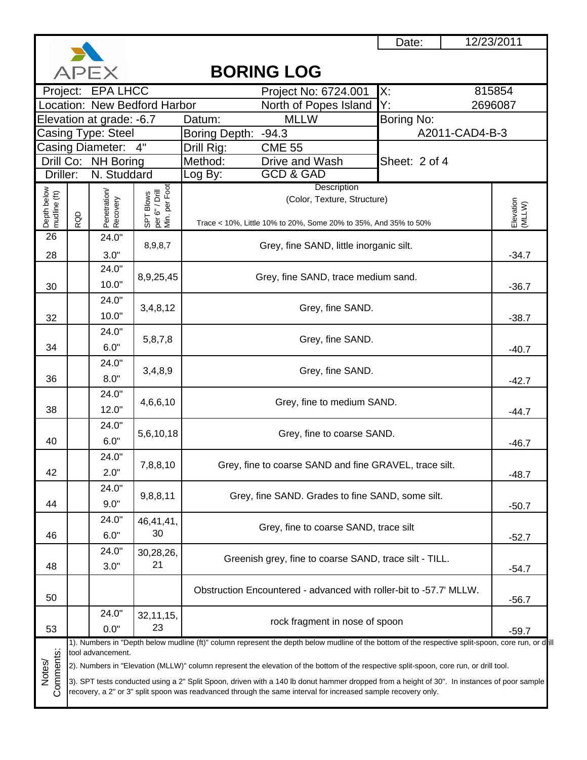

## Project: EPA LHCC Project No: 6724.001 X: 815854 North of Popes Island Y: Datum: MLLW Boring No: Casing Type: Steel | Boring Depth: -94.3 | A2011-CAD4-B-3 Drill Rig: CME 55 Method: Drive and Wash Log By: GCD & GAD 3). SPT tests conducted using a 2" Split Spoon, driven with a 140 lb donut hammer dropped from a height of 30". In instances of poor sample recovery, a 2" or 3" split spoon was readvanced through the same interval for increased sample recovery only. **BORING LOG** Location: New Bedford Harbor North of Popes Island Y: 2696087 Elevation at grade: -6.7 Casing Diameter: Drill Co: NH Boring | Method: Drive and Wash | Sheet: 2 of 4 Driller: N. Studdard Depth below<br>mudline (ft)<br>RQD<br>Penetration/<br>Percovery<br>SPT Blows<br>SPT Blows<br>Per G<sup>®</sup> / Drill per 6" / Drill Min. per Foot **Description Elevation** Elevation<br>(MLLW) (Color, Texture, Structure) Trace < 10%, Little 10% to 20%, Some 20% to 35%, And 35% to 50% 24.0" 8,9,8,7 Grey, fine SAND, little inorganic silt. 28 3.0" -34.7 26 24.0" 8,9,25,45 Grey, fine SAND, trace medium sand.  $30$  | 10.0" |  $36.7$ 24.0" 3,4,8,12 Grey, fine SAND.  $32$  | 10.0" |  $38.7$ 24.0"  $34$   $\begin{bmatrix} 6.0^{\degree} & 5,8,7,8 \end{bmatrix}$  Grey, fine SAND. 24.0"  $36$   $8.0"$   $3,4,8,9$  Grey, fine SAND.  $-42.7$ 24.0"  $38$   $12.0"$   $4.6,6,10$  Grey, fine to medium SAND. 24.0" 40 6.0" 5,6,10,18 Grey, fine to coarse SAND. 24.0"  $\begin{array}{|c|c|c|c|c|}\n\hline\n\text{2.0} & \text{7,8,8,10} & \text{Grey, fine to coarse SAND and fine GRAVEL, trace slit.} \\
\hline\n\end{array}$ 24.0" 44  $\begin{bmatrix} 9.8,8.11 \\ 9.0 \end{bmatrix}$  9,8,8,11 Grey, fine SAND. Grades to fine SAND, some silt. 24.0" 46,41,41,  $\begin{array}{|c|c|c|c|c|}\n\hline\n\text{30} & & 30 \\
\hline\n\text{30} & & 30\n\end{array}$  Grey, fine to coarse SAND, trace silt  $\begin{array}{|c|c|c|}\n\hline\n\text{30} & & 30 \\
\hline\n\text{31} & & 30\n\end{array}$ 24.0" 30,28,26,  $21$  Greenish grey, fine to coarse SAND, trace silt - TILL.  $3.0"$   $3.0"$   $21"$ Obstruction Encountered - advanced with roller-bit to -57.7' MLLW. 50 -56.7 Notes/<br>Comments: 24.0" 32,11,15,  $\begin{array}{|c|c|c|c|c|}\n 53 & 0.0 & 23 & 0.0 & 23\n\end{array}$  rock fragment in nose of spoon  $\begin{array}{|c|c|c|c|c|}\n 53 & 0.0 & 23\n\end{array}$ 1). Numbers in "Depth below mudline (ft)" column represent the depth below mudline of the bottom of the respective split-spoon, core run, or dill tool advancement. 2). Numbers in "Elevation (MLLW)" column represent the elevation of the bottom of the respective split-spoon, core run, or drill tool.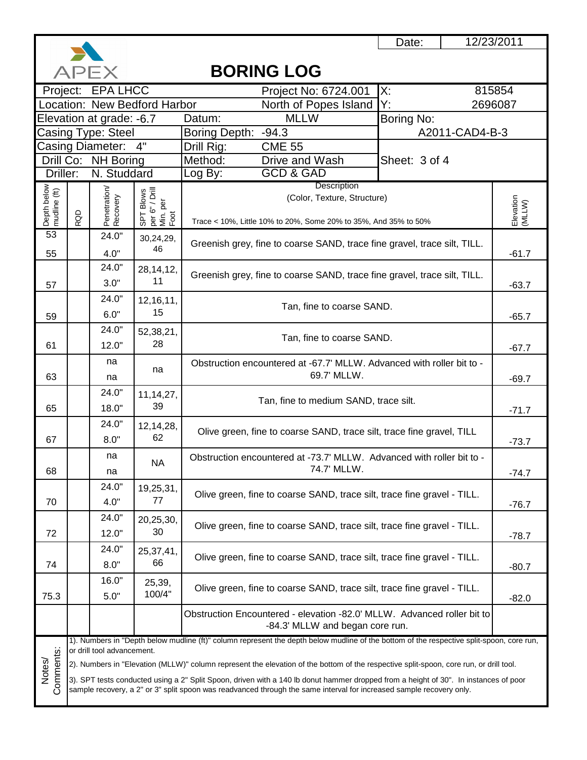

12/23/2011

|                                                                                                                      |     | APEX                       |                                                 | <b>BORING LOG</b>                                                                                                                         |                                                                                      |                     |  |  |  |  |
|----------------------------------------------------------------------------------------------------------------------|-----|----------------------------|-------------------------------------------------|-------------------------------------------------------------------------------------------------------------------------------------------|--------------------------------------------------------------------------------------|---------------------|--|--|--|--|
|                                                                                                                      |     | Project: EPA LHCC          |                                                 | Project No: 6724.001                                                                                                                      | Х.                                                                                   | 815854              |  |  |  |  |
|                                                                                                                      |     |                            | Location: New Bedford Harbor                    | North of Popes Island                                                                                                                     | Y.                                                                                   | 2696087             |  |  |  |  |
|                                                                                                                      |     | Elevation at grade: -6.7   |                                                 | <b>MLLW</b><br>Datum:                                                                                                                     | Boring No:                                                                           |                     |  |  |  |  |
| Casing Type: Steel                                                                                                   |     |                            |                                                 | Boring Depth: -94.3                                                                                                                       | A2011-CAD4-B-3                                                                       |                     |  |  |  |  |
|                                                                                                                      |     | Casing Diameter:           | 4"                                              | Drill Rig:<br><b>CME 55</b>                                                                                                               |                                                                                      |                     |  |  |  |  |
|                                                                                                                      |     | Drill Co: NH Boring        |                                                 | Method:<br>Drive and Wash                                                                                                                 | Sheet: 3 of 4                                                                        |                     |  |  |  |  |
| Driller:                                                                                                             |     | N. Studdard                |                                                 | <b>GCD &amp; GAD</b><br>Log By:                                                                                                           |                                                                                      |                     |  |  |  |  |
| Depth below<br>mudline (ft)                                                                                          |     | Penetration/<br>Recovery   |                                                 | Description<br>(Color, Texture, Structure)                                                                                                |                                                                                      |                     |  |  |  |  |
|                                                                                                                      |     |                            |                                                 |                                                                                                                                           |                                                                                      |                     |  |  |  |  |
|                                                                                                                      | RQD |                            | SPT Blows<br>per 6" / Drill<br>Min. per<br>Foot | Trace < 10%, Little 10% to 20%, Some 20% to 35%, And 35% to 50%                                                                           |                                                                                      | Elevation<br>(MLLW) |  |  |  |  |
| 53                                                                                                                   |     | 24.0"                      | 30,24,29,                                       |                                                                                                                                           |                                                                                      |                     |  |  |  |  |
| 55                                                                                                                   |     | 4.0"                       | 46                                              | Greenish grey, fine to coarse SAND, trace fine gravel, trace silt, TILL.                                                                  |                                                                                      | $-61.7$             |  |  |  |  |
|                                                                                                                      |     | 24.0"                      | 28, 14, 12,                                     |                                                                                                                                           |                                                                                      |                     |  |  |  |  |
| 57                                                                                                                   |     | 3.0"                       | 11                                              | Greenish grey, fine to coarse SAND, trace fine gravel, trace silt, TILL.                                                                  |                                                                                      | $-63.7$             |  |  |  |  |
|                                                                                                                      |     | 24.0"                      | 12,16,11,                                       |                                                                                                                                           |                                                                                      |                     |  |  |  |  |
|                                                                                                                      |     | 6.0"                       | 15                                              | Tan, fine to coarse SAND.                                                                                                                 |                                                                                      | $-65.7$             |  |  |  |  |
| 59                                                                                                                   |     | 24.0"                      |                                                 |                                                                                                                                           |                                                                                      |                     |  |  |  |  |
| 61                                                                                                                   |     | 12.0"                      | 52,38,21,<br>28                                 | Tan, fine to coarse SAND.                                                                                                                 | $-67.7$                                                                              |                     |  |  |  |  |
|                                                                                                                      |     |                            |                                                 |                                                                                                                                           |                                                                                      |                     |  |  |  |  |
|                                                                                                                      |     | na                         | na                                              |                                                                                                                                           | Obstruction encountered at -67.7' MLLW. Advanced with roller bit to -<br>69.7' MLLW. |                     |  |  |  |  |
| 63                                                                                                                   |     | na                         |                                                 |                                                                                                                                           |                                                                                      |                     |  |  |  |  |
|                                                                                                                      |     | 24.0"                      | 11, 14, 27,                                     | Tan, fine to medium SAND, trace silt.                                                                                                     |                                                                                      |                     |  |  |  |  |
| 65                                                                                                                   |     | 18.0"                      | 39                                              |                                                                                                                                           |                                                                                      | $-71.7$             |  |  |  |  |
|                                                                                                                      |     | 24.0"                      | 12,14,28,                                       | Olive green, fine to coarse SAND, trace silt, trace fine gravel, TILL                                                                     |                                                                                      |                     |  |  |  |  |
| 67                                                                                                                   |     | 8.0"                       | 62                                              |                                                                                                                                           |                                                                                      | $-73.7$             |  |  |  |  |
|                                                                                                                      |     | na                         | <b>NA</b>                                       | Obstruction encountered at -73.7' MLLW. Advanced with roller bit to -                                                                     |                                                                                      |                     |  |  |  |  |
| 68                                                                                                                   |     | na                         |                                                 | 74.7' MLLW.                                                                                                                               |                                                                                      | $-74.7$             |  |  |  |  |
|                                                                                                                      |     | 24.0"                      | 19,25,31,                                       |                                                                                                                                           |                                                                                      |                     |  |  |  |  |
| 70                                                                                                                   |     | 4.0"                       | 77                                              | Olive green, fine to coarse SAND, trace silt, trace fine gravel - TILL.                                                                   |                                                                                      | $-76.7$             |  |  |  |  |
|                                                                                                                      |     | 24.0"                      | 20,25,30,                                       |                                                                                                                                           |                                                                                      |                     |  |  |  |  |
| 72                                                                                                                   |     | 12.0"                      | 30                                              | Olive green, fine to coarse SAND, trace silt, trace fine gravel - TILL.                                                                   |                                                                                      | $-78.7$             |  |  |  |  |
|                                                                                                                      |     | 24.0"                      | 25,37,41,                                       |                                                                                                                                           |                                                                                      |                     |  |  |  |  |
| 74                                                                                                                   |     | 8.0"                       | 66                                              | Olive green, fine to coarse SAND, trace silt, trace fine gravel - TILL.                                                                   |                                                                                      | $-80.7$             |  |  |  |  |
|                                                                                                                      |     | 16.0"                      |                                                 |                                                                                                                                           |                                                                                      |                     |  |  |  |  |
| 75.3                                                                                                                 |     | 5.0"                       | 25,39,<br>100/4"                                | Olive green, fine to coarse SAND, trace silt, trace fine gravel - TILL.                                                                   |                                                                                      |                     |  |  |  |  |
|                                                                                                                      |     |                            |                                                 |                                                                                                                                           |                                                                                      | $-82.0$             |  |  |  |  |
|                                                                                                                      |     |                            |                                                 | Obstruction Encountered - elevation -82.0' MLLW. Advanced roller bit to<br>-84.3' MLLW and began core run.                                |                                                                                      |                     |  |  |  |  |
|                                                                                                                      |     |                            |                                                 | 1). Numbers in "Depth below mudline (ft)" column represent the depth below mudline of the bottom of the respective split-spoon, core run, |                                                                                      |                     |  |  |  |  |
| Comments:                                                                                                            |     | or drill tool advancement. |                                                 | 2). Numbers in "Elevation (MLLW)" column represent the elevation of the bottom of the respective split-spoon, core run, or drill tool.    |                                                                                      |                     |  |  |  |  |
| Notes/                                                                                                               |     |                            |                                                 |                                                                                                                                           |                                                                                      |                     |  |  |  |  |
|                                                                                                                      |     |                            |                                                 | 3). SPT tests conducted using a 2" Split Spoon, driven with a 140 lb donut hammer dropped from a height of 30". In instances of poor      |                                                                                      |                     |  |  |  |  |
| sample recovery, a 2" or 3" split spoon was readvanced through the same interval for increased sample recovery only. |     |                            |                                                 |                                                                                                                                           |                                                                                      |                     |  |  |  |  |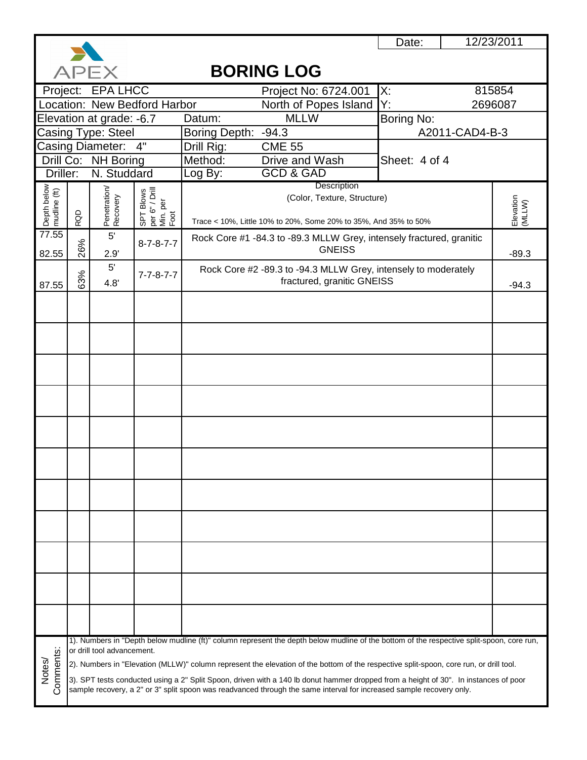

12/23/2011

|                             |     | APEX                       |                                                 |               | <b>BORING LOG</b>                                                                                                                         |                |                     |
|-----------------------------|-----|----------------------------|-------------------------------------------------|---------------|-------------------------------------------------------------------------------------------------------------------------------------------|----------------|---------------------|
|                             |     | Project: EPA LHCC          |                                                 |               | Project No: 6724.001                                                                                                                      | X:             | 815854              |
|                             |     |                            | Location: New Bedford Harbor                    |               | North of Popes Island                                                                                                                     | Y:             | 2696087             |
|                             |     | Elevation at grade: -6.7   |                                                 | Datum:        | <b>MLLW</b>                                                                                                                               | Boring No:     |                     |
|                             |     | Casing Type: Steel         |                                                 | Boring Depth: | $-94.3$                                                                                                                                   | A2011-CAD4-B-3 |                     |
| <b>Casing Diameter:</b>     |     |                            | 4"                                              | Drill Rig:    | <b>CME 55</b>                                                                                                                             |                |                     |
|                             |     | Drill Co: NH Boring        |                                                 | Method:       | Drive and Wash<br><b>GCD &amp; GAD</b>                                                                                                    | Sheet: 4 of 4  |                     |
| Driller:                    |     | N. Studdard                |                                                 | Log By:       | Description                                                                                                                               |                |                     |
| Depth below<br>mudline (ft) |     | Penetration/<br>Recovery   | SPT Blows<br>per 6" / Drill<br>Min. per<br>Foot |               | (Color, Texture, Structure)                                                                                                               |                |                     |
|                             |     |                            |                                                 |               |                                                                                                                                           |                | Elevation<br>(MLLW) |
|                             | RQD |                            |                                                 |               | Trace < 10%, Little 10% to 20%, Some 20% to 35%, And 35% to 50%                                                                           |                |                     |
| 77.55                       |     | 5'                         | $8 - 7 - 8 - 7 - 7$                             |               | Rock Core #1 -84.3 to -89.3 MLLW Grey, intensely fractured, granitic                                                                      |                |                     |
| 82.55                       | 26% | 2.9'                       |                                                 |               | <b>GNEISS</b>                                                                                                                             |                | $-89.3$             |
|                             |     | 5'                         | $7 - 7 - 8 - 7 - 7$                             |               | Rock Core #2 -89.3 to -94.3 MLLW Grey, intensely to moderately                                                                            |                |                     |
| 87.55                       | 63% | 4.8'                       |                                                 |               | fractured, granitic GNEISS                                                                                                                |                | $-94.3$             |
|                             |     |                            |                                                 |               |                                                                                                                                           |                |                     |
|                             |     |                            |                                                 |               |                                                                                                                                           |                |                     |
|                             |     |                            |                                                 |               |                                                                                                                                           |                |                     |
|                             |     |                            |                                                 |               |                                                                                                                                           |                |                     |
|                             |     |                            |                                                 |               |                                                                                                                                           |                |                     |
|                             |     |                            |                                                 |               |                                                                                                                                           |                |                     |
|                             |     |                            |                                                 |               |                                                                                                                                           |                |                     |
|                             |     |                            |                                                 |               |                                                                                                                                           |                |                     |
|                             |     |                            |                                                 |               |                                                                                                                                           |                |                     |
|                             |     |                            |                                                 |               |                                                                                                                                           |                |                     |
|                             |     |                            |                                                 |               |                                                                                                                                           |                |                     |
|                             |     |                            |                                                 |               |                                                                                                                                           |                |                     |
|                             |     |                            |                                                 |               |                                                                                                                                           |                |                     |
|                             |     |                            |                                                 |               |                                                                                                                                           |                |                     |
|                             |     |                            |                                                 |               |                                                                                                                                           |                |                     |
|                             |     |                            |                                                 |               |                                                                                                                                           |                |                     |
|                             |     |                            |                                                 |               |                                                                                                                                           |                |                     |
|                             |     |                            |                                                 |               |                                                                                                                                           |                |                     |
|                             |     |                            |                                                 |               |                                                                                                                                           |                |                     |
|                             |     |                            |                                                 |               |                                                                                                                                           |                |                     |
|                             |     |                            |                                                 |               |                                                                                                                                           |                |                     |
|                             |     |                            |                                                 |               |                                                                                                                                           |                |                     |
|                             |     |                            |                                                 |               | 1). Numbers in "Depth below mudline (ft)" column represent the depth below mudline of the bottom of the respective split-spoon, core run, |                |                     |
|                             |     | or drill tool advancement. |                                                 |               |                                                                                                                                           |                |                     |
| Comments:<br>Notes/         |     |                            |                                                 |               | 2). Numbers in "Elevation (MLLW)" column represent the elevation of the bottom of the respective split-spoon, core run, or drill tool.    |                |                     |
|                             |     |                            |                                                 |               | 3). SPT tests conducted using a 2" Split Spoon, driven with a 140 lb donut hammer dropped from a height of 30". In instances of poor      |                |                     |
|                             |     |                            |                                                 |               | sample recovery, a 2" or 3" split spoon was readvanced through the same interval for increased sample recovery only.                      |                |                     |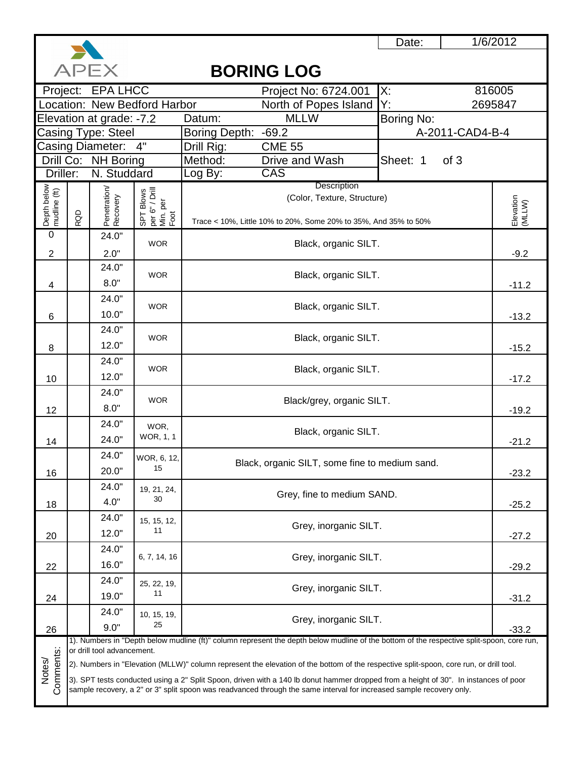

1/6/2012

### **APFX BORING LOG** Project No: 6724.001 | X: 816005 Project: EPA LHCC North of Popes Island Y:<br>MLLW Bo 2695847 Location: New Bedford Harbor Elevation at grade: -7.2 Datum: Boring No: Casing Type: Steel Boring Depth: -69.2<br>Drill Rig: CME 55 A-2011-CAD4-B-4 Casing Diameter: Drill Rig: NH Boring Method: Drive and Wash **Sheet: 1** of 3 Drill Co: Driller: N. Studdard Log By: CAS **Description** Depth below<br>mudline (ft) 22Depth below mudline (ft) Penetration/<br>Recovery Penetration/ per 6" / Drill SPT Blows (Color, Texture, Structure) Elevation<br>(MLLW) Elevation Min. per Foot RQD Trace < 10%, Little 10% to 20%, Some 20% to 35%, And 35% to 50%  $\overline{0}$ 24.0" WOR Black, organic SILT. 2 2.0" -9.2 24.0" **WOR** Black, organic SILT. 8.0" 4 -11.2 24.0" WOR Black, organic SILT. 10.0" 6 -13.2 24.0" **WOR** Black, organic SILT. 12.0" 8  $-15.2$ 24.0" WOR Black, organic SILT. 12.0" 10-17.2 24.0" WOR Black/grey, organic SILT. 8.0" 12 -19.2 24.0" WOR, Black, organic SILT. WOR, 1, 1 24.0" 14 -21.2 24.0" WOR, 6, 12, Black, organic SILT, some fine to medium sand. 15 20.0" 16 -23.2 24.0" 19, 21, 24, Grey, fine to medium SAND. 30 4.0" 18 -25.2 24.0" 15, 15, 12, Grey, inorganic SILT. 11 12.0" 20 -27.2 24.0" 6, 7, 14, 16 Grey, inorganic SILT. 16.0" 22 -29.2 24.0" 25, 22, 19,  $\begin{bmatrix} 22, 19, \\ 11 \end{bmatrix}$  Grey, inorganic SILT. 19.0" 24 -31.2 24.0" 10, 15, 19,  $\begin{array}{c} 25, 19, 25 \end{array}$  Grey, inorganic SILT. 9.0" 26 -33.2 1). Numbers in "Depth below mudline (ft)" column represent the depth below mudline of the bottom of the respective split-spoon, core run, Comments: or drill tool advancement. Comments: Notes/ 2). Numbers in "Elevation (MLLW)" column represent the elevation of the bottom of the respective split-spoon, core run, or drill tool. 3). SPT tests conducted using a 2" Split Spoon, driven with a 140 lb donut hammer dropped from a height of 30". In instances of poor sample recovery, a 2" or 3" split spoon was readvanced through the same interval for increased sample recovery only.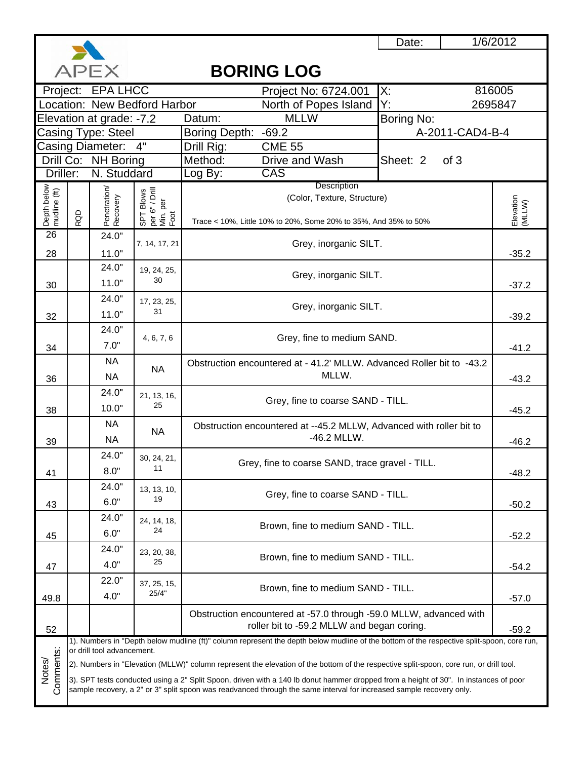

Notes/

### Project No: 6724.001 X: Project: EPA LHCC 816005 North of Popes Island Y: Datum: MLLW Boring No: Casing Type: Steel | Boring Depth: -69.2 | A-2011-CAD4-B-4 4" Drill Rig: CME 55 Method: Drive and Wash **Sheet: 2** of 3 Log By: CAS NA 24.0"  $7.0"$  4, 6, 7, 6 Grey, fine to medium SAND. 36 NA NA Obstruction encountered at - 41.2' MLLW. Advanced Roller bit to -43.2  $MLLW.$   $-43.2$ 19, 24, 25,  $30$  Grey, inorganic SILT.  $30$  -37.2 32 24.0" 17, 23, 25,  $\begin{array}{c} 23, 23, 21, 31 \end{array}$  Grey, inorganic SILT. -39.2 **Description E**levation Elevation<br>(MLLW) (Color, Texture, Structure) Trace < 10%, Little 10% to 20%, Some 20% to 35%, And 35% to 50% 24.0" 7, 14, 17, 21 Grey, inorganic SILT. 11.0"  $\begin{vmatrix} 1 & 35.2 \end{vmatrix}$ Casing Diameter: Drill Co: NH Boring Driller: N. Studdard Depth below<br>mudline (ft)<br>RQD<br>Recovery<br>Recovery<br>SPT Blows<br>SPT Blows Min. per Foot Location: New Bedford Harbor **2695847** North of Popes Island Y: 2695847 Elevation at grade: -7.2 **BORING LOG** 26 28 30 24.0" 11.0" 34 24.0" 1). Numbers in "Depth below mudline (ft)" column represent the depth below mudline of the bottom of the respective split-spoon, core run, or drill tool advancement. 2). Numbers in "Elevation (MLLW)" column represent the elevation of the bottom of the respective split-spoon, core run, or drill tool. 52 Obstruction encountered at -57.0 through -59.0 MLLW, advanced with roller bit to -59.2 MLLW and began coring.  $\Big|$  -59.2 49.8  $22.0"$  37, 25, 15,  $\begin{array}{c|c|c|c|c|c|c|c|c} \text{37, 25, 15,} & & \text{Brown, fine to medium SAND - TILL.} \end{array}$  -57.0 47 24.0" 23, 20, 38,  $\begin{array}{c|c}\n 25.20, 20, 30, \\
 25 & \end{array}$  Brown, fine to medium SAND - TILL. 45 24.0" 24, 14, 18,  $2^{24}$ ,  $14^{2}$ ,  $16^{2}$ ,  $24^{2}$  Brown, fine to medium SAND - TILL. 43  $24.0"$  13, 13, 10, <sup>19</sup> Grey, fine to coarse SAND - TILL. 6.0" -50.2 41  $24.0"$  30, 24, 21,  $\begin{bmatrix} 1 & 1 \\ 0 & 1 \end{bmatrix}$  Grey, fine to coarse SAND, trace gravel - TILL.<br>
8.0"  $\begin{bmatrix} 11 & 1 \\ 1 & 1 \end{bmatrix}$  -48.2  $10.0"$   $25$   $-45.2$ 39 NA NA Obstruction encountered at --45.2 MLLW, Advanced with roller bit to<br>-46.2 MLLW. NA  $\begin{bmatrix} 1 & 1 & 1 \\ 1 & 1 & 1 \end{bmatrix}$  -46.2 MLLW. 38  $21, 13, 16,$ <br> $25, 16,$ Grey, fine to coarse SAND - TILL.

Comments: Comments 3). SPT tests conducted using a 2" Split Spoon, driven with a 140 lb donut hammer dropped from a height of 30". In instances of poor sample recovery, a 2" or 3" split spoon was readvanced through the same interval for increased sample recovery only.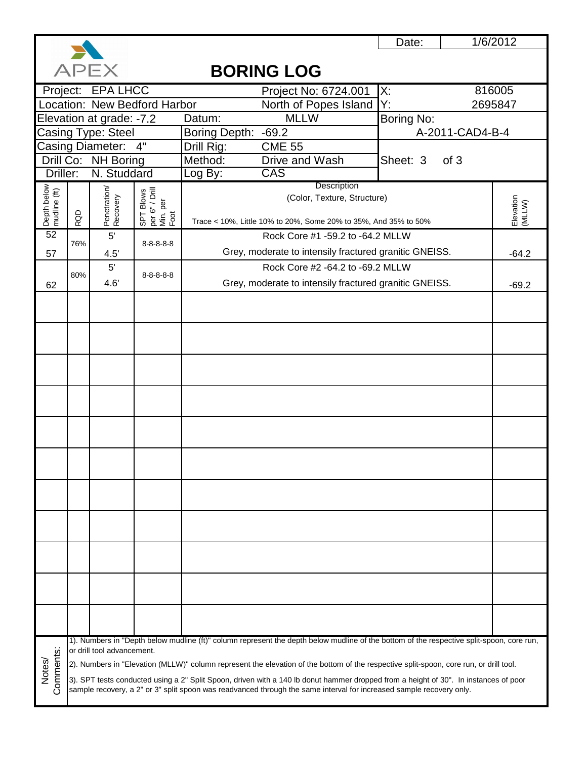

# **APEX BORING LOG** Project: EPA LHCC Project No: 6724.001 X: 816005 Location: New Bedford Harbor North of Popes Island Y:<br>MLLW Bo 2695847 Elevation at grade: -7.2 Datum: MLLW Boring No: Casing Type: Steel Boring Depth: -69.2<br>Drill Rig: CME 55 A-2011-CAD4-B-4 Drill Rig: Casing Diameter: Drill Co: NH Boring Method: Drive and Wash **Sheet: 3** of 3 Driller: N. Studdard Log By: CAS **Description** Depth below<br>mudline (ft) Penetration/<br>Recovery Depth below Penetration/ per 6" / Drill SPT Blows mudline (ft) (Color, Texture, Structure)  $\frac{15}{20}$   $\frac{15}{20}$   $\frac{15}{20}$   $\frac{15}{20}$   $\frac{15}{20}$   $\frac{15}{20}$   $\frac{15}{20}$   $\frac{15}{20}$   $\frac{15}{20}$   $\frac{15}{20}$   $\frac{15}{20}$   $\frac{15}{20}$   $\frac{15}{20}$   $\frac{15}{20}$   $\frac{15}{20}$   $\frac{15}{20}$   $\frac{15}{20}$   $\frac{15}{20}$   $\frac{1$ Min. per Foot RQD Trace < 10%, Little 10% to 20%, Some 20% to 35%, And 35% to 50% 52 5' Rock Core #1 -59.2 to -64.2 MLLW 76% 8-8-8-8-8 4.5' Crey, moderate to intensily fractured granitic GNEISS. 4.5' [4.2] 57 Rock Core #2 -64.2 to -69.2 MLLW 5' 80% 8-8-8-8-8 Grey, moderate to intensily fractured granitic GNEISS. 62 1). Numbers in "Depth below mudline (ft)" column represent the depth below mudline of the bottom of the respective split-spoon, core run, or drill tool advancement. Notes/<br>Comments: 2). Numbers in "Elevation (MLLW)" column represent the elevation of the bottom of the respective split-spoon, core run, or drill tool. 3). SPT tests conducted using a 2" Split Spoon, driven with a 140 lb donut hammer dropped from a height of 30". In instances of poor sample recovery, a 2" or 3" split spoon was readvanced through the same interval for increased sample recovery only.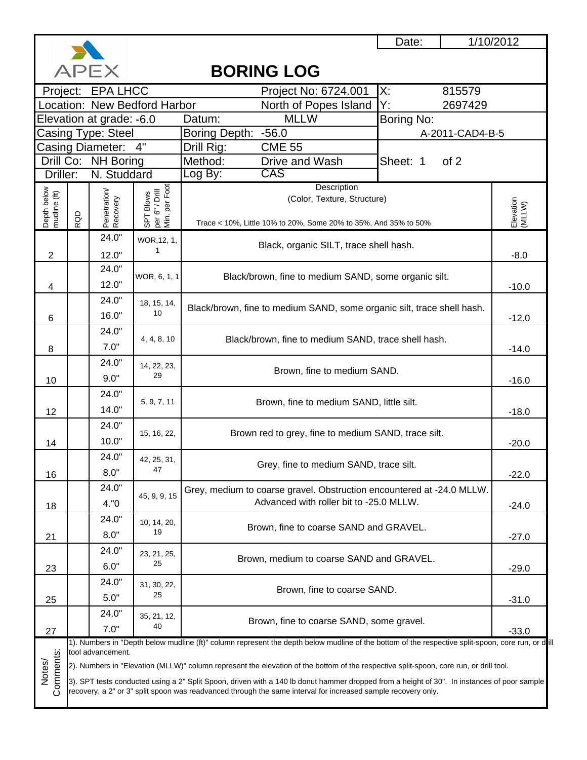

### **APEX BORING LOG** Project No: 6724.001 X: 815579 Project: EPA LHCC North of Popes Island Y: 2697429 Location: New Bedford Harbor MLLW Boring No: Elevation at grade: Datum: Casing Type: Steel Boring Depth: -56.0 A-2011-CAD4-B-5 Casing Diameter: Drill Rig: CME 55 Method: Drive and Wash Sheet: 1 of 2 Drill Co: NH Boring N. Studdard Log By: CAS Driller: **Description** Depth below<br>mudline (ft)  $\frac{3000}{24}$  and  $\frac{4}{6}$  and  $\frac{8}{12}$  and  $\frac{14}{14}$  and  $\frac{16}{12}$  and  $\frac{21}{23}$  and  $\frac{21}{23}$ per Foot Min. per Foot Media 24.0"<br>
24.0"<br>
24.0"<br>
24.0"<br>
24.0"<br>
24.0"<br>
24.0"<br>
24.0"<br>
24.0"<br>
24.0" SPT Blows<br>per 6" / Drill<br>Min. per Foc 6" / Drill per 6" / Drill Penetration SPT Blows Recovery (Color, Texture, Structure) Elevation<br>(MLLW) **Elevation** RQD Trace < 10%, Little 10% to 20%, Some 20% to 35%, And 35% to 50% 24.0" WOR,12, 1, Black, organic SILT, trace shell hash. 1 2 12.0" -8.0 24.0" WOR, 6, 1, 1 Black/brown, fine to medium SAND, some organic silt. 12.0" 4 -10.0 24.0" 18, 15, 14, Black/brown, fine to medium SAND, some organic silt, trace shell hash.  $16.0"$   $10$ 6 -12.0 24.0" Black/brown, fine to medium SAND, trace shell hash. 4, 4, 8, 10 7.0" 8 -14.0 24.0" 14, 22, 23, Brown, fine to medium SAND. 29 9.0" 10 -16.0  $24.0"$ 5, 9, 7, 11 Brown, fine to medium SAND, little silt. 14.0" 12 -18.0 24.0" 15, 16, 22, Brown red to grey, fine to medium SAND, trace silt. 10.0" 14 -20.0 24.0" 42, 25, 31, Grey, fine to medium SAND, trace silt. 47 8.0" 16 -22.0 24.0" Grey, medium to coarse gravel. Obstruction encountered at -24.0 MLLW. 45, 9, 9, 15 Crey, medium to coarse gravel. Obstruction encountered<br>Advanced with roller bit to -25.0 MLLW. 4."0 18-24.0 24.0" 10, 14, 20, Brown, fine to coarse SAND and GRAVEL. 19 8.0" 21 -27.0 24.0" 23, 21, 25, Brown, medium to coarse SAND and GRAVEL. 25 6.0" 23 -29.0 24.0" 31, 30, 22,  $\begin{array}{c} 250, 22, 25 \end{array}$  Brown, fine to coarse SAND. 5.0" 25 -31.0 24.0" 35, 21, 12,  $\begin{array}{c} 40 \ 40 \end{array}$  Brown, fine to coarse SAND, some gravel. 7.0" 27 -33.0 1). Numbers in "Depth below mudline (ft)" column represent the depth below mudline of the bottom of the respective split-spoon, core run, or dill Comments: tool advancement. Comments: Notes/ 2). Numbers in "Elevation (MLLW)" column represent the elevation of the bottom of the respective split-spoon, core run, or drill tool. 3). SPT tests conducted using a 2" Split Spoon, driven with a 140 lb donut hammer dropped from a height of 30". In instances of poor sample recovery, a 2" or 3" split spoon was readvanced through the same interval for increased sample recovery only.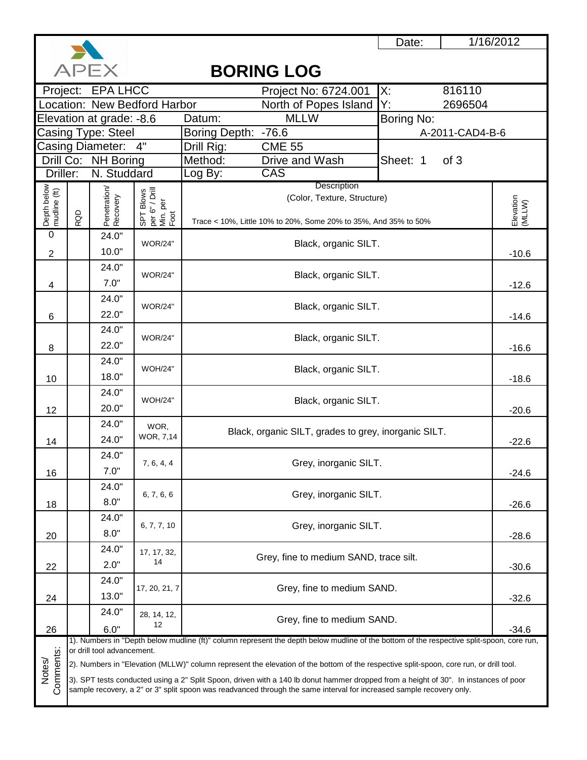

1/16/2012

### **APFX BORING LOG** Project No: 6724.001 X: 816110 Project: EPA LHCC North of Popes Island Y:<br>MLLW Bo 2696504 Location: New Bedford Harbor Elevation at grade: -8.6 Datum: Boring No: Casing Type: Steel Boring Depth: -76.6<br>Drill Rig: CME 55 A-2011-CAD4-B-6 Casing Diameter: 4" Drill Rig: NH Boring Method: Drive and Wash **Sheet: 1** of 3 Drill Co: Driller: N. Studdard Log By: CAS **Description** Depth below mudline (ft) Penetration/<br>Recovery Penetration/ per 6" / Drill SPT Blows (Color, Texture, Structure) Elevation<br>(MLLW) Elevation Min. per Foot RQD Trace < 10%, Little 10% to 20%, Some 20% to 35%, And 35% to 50%  $\overline{0}$ 24.0" WOR/24" Black, organic SILT. 10.0" -10.6 2 24.0" WOR/24" Black, organic SILT. 7.0" 4 -12.6 24.0" WOR/24" Black, organic SILT. 22.0" 6 -14.6 24.0" WOR/24" Black, organic SILT. 22.0" 8 -16.6 24.0" WOH/24" Black, organic SILT. 18.0" 10 -18.6 24.0" WOH/24" Black, organic SILT. 20.0" 12 -20.6 24.0" WOR, Black, organic SILT, grades to grey, inorganic SILT. WOR, 7,14 24.0" 14 -22.6 24.0" 7, 6, 4, 4 Grey, inorganic SILT. 7.0" 16 -24.6 24.0" 6, 7, 6, 6 Grey, inorganic SILT. 8.0" 18 -26.6 24.0" 6, 7, 7, 10 Grey, inorganic SILT. 8.0" 20 -28.6 24.0" 17, 17, 32, Grey, fine to medium SAND, trace silt. 14 2.0" 22-30.6 24.0" 17, 20, 21, 7 Grey, fine to medium SAND. 13.0" 24 -32.6 24.0" 28, 14, 12,  $12 \n\begin{array}{c}\n14, 12, \\
12\n\end{array}$ 26 6.0" -34.6 1). Numbers in "Depth below mudline (ft)" column represent the depth below mudline of the bottom of the respective split-spoon, core run, Comments: or drill tool advancement. Comments: Notes/ 2). Numbers in "Elevation (MLLW)" column represent the elevation of the bottom of the respective split-spoon, core run, or drill tool. 3). SPT tests conducted using a 2" Split Spoon, driven with a 140 lb donut hammer dropped from a height of 30". In instances of poor sample recovery, a 2" or 3" split spoon was readvanced through the same interval for increased sample recovery only.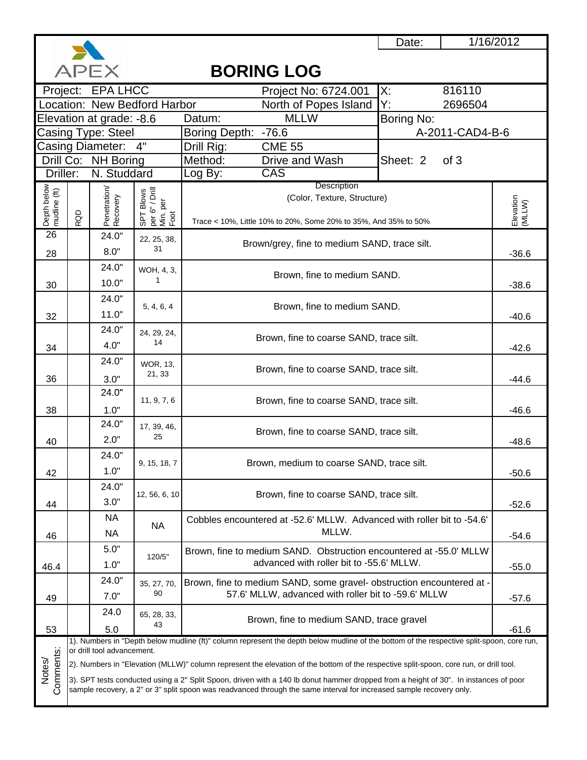

# **BORING LOG**

| $\sim$<br><b>טטון טאוויט</b> |                                                              |                            |                              |                                                                                                                                           |                     |  |  |  |
|------------------------------|--------------------------------------------------------------|----------------------------|------------------------------|-------------------------------------------------------------------------------------------------------------------------------------------|---------------------|--|--|--|
|                              |                                                              | Project: EPA LHCC          |                              | 816110<br>Х:<br>Project No: 6724.001                                                                                                      |                     |  |  |  |
|                              |                                                              |                            | Location: New Bedford Harbor | North of Popes Island<br>Y.<br>2696504                                                                                                    |                     |  |  |  |
|                              |                                                              | Elevation at grade: -8.6   |                              | <b>MLLW</b><br>Boring No:<br>Datum:                                                                                                       |                     |  |  |  |
|                              |                                                              | Casing Type: Steel         |                              | A-2011-CAD4-B-6<br><b>Boring Depth:</b><br>$-76.6$                                                                                        |                     |  |  |  |
| 4"<br>Casing Diameter:       |                                                              |                            |                              | Drill Rig:<br><b>CME 55</b>                                                                                                               |                     |  |  |  |
|                              |                                                              | Drill Co: NH Boring        |                              | Method:<br>Drive and Wash<br>Sheet: 2<br>of 3                                                                                             |                     |  |  |  |
| Driller:                     |                                                              | N. Studdard                |                              | CAS<br>Log By:                                                                                                                            |                     |  |  |  |
| Depth below<br>mudline (ft)  | Description<br>$r$ $\frac{1}{\pi}$ Blows<br>Min. per<br>Foot |                            |                              |                                                                                                                                           |                     |  |  |  |
|                              |                                                              |                            |                              | (Color, Texture, Structure)                                                                                                               |                     |  |  |  |
|                              | RQD                                                          | Penetration/<br>Recovery   |                              | Trace < 10%, Little 10% to 20%, Some 20% to 35%, And 35% to 50%                                                                           | Elevation<br>(MLLW) |  |  |  |
| 26                           |                                                              | 24.0"                      | 22, 25, 38,                  |                                                                                                                                           |                     |  |  |  |
| 28                           |                                                              | 8.0"                       | 31                           | Brown/grey, fine to medium SAND, trace silt.                                                                                              | $-36.6$             |  |  |  |
|                              |                                                              | 24.0"                      | WOH, 4, 3,                   |                                                                                                                                           |                     |  |  |  |
| 30                           |                                                              | 10.0"                      | 1                            | Brown, fine to medium SAND.                                                                                                               | $-38.6$             |  |  |  |
|                              |                                                              | 24.0"                      |                              |                                                                                                                                           |                     |  |  |  |
|                              |                                                              | 11.0"                      | 5, 4, 6, 4                   | Brown, fine to medium SAND.                                                                                                               |                     |  |  |  |
| 32                           |                                                              |                            |                              |                                                                                                                                           | $-40.6$             |  |  |  |
|                              |                                                              | 24.0"                      | 24, 29, 24,<br>14            | Brown, fine to coarse SAND, trace silt.                                                                                                   |                     |  |  |  |
| 34                           |                                                              | 4.0"                       |                              |                                                                                                                                           | $-42.6$             |  |  |  |
|                              |                                                              | 24.0"                      | <b>WOR, 13,</b>              | Brown, fine to coarse SAND, trace silt.                                                                                                   |                     |  |  |  |
| 36                           |                                                              | 3.0"                       | 21, 33                       |                                                                                                                                           | $-44.6$             |  |  |  |
|                              |                                                              | 24.0"                      | 11, 9, 7, 6                  | Brown, fine to coarse SAND, trace silt.                                                                                                   |                     |  |  |  |
| 38                           |                                                              | 1.0"                       |                              |                                                                                                                                           | $-46.6$             |  |  |  |
|                              |                                                              | 24.0"                      | 17, 39, 46,                  |                                                                                                                                           |                     |  |  |  |
| 40                           |                                                              | 2.0"                       | 25                           | Brown, fine to coarse SAND, trace silt.                                                                                                   | $-48.6$             |  |  |  |
|                              |                                                              | 24.0"                      |                              |                                                                                                                                           |                     |  |  |  |
| 42                           |                                                              | 1.0"                       | 9, 15, 18, 7                 | Brown, medium to coarse SAND, trace silt.                                                                                                 | $-50.6$             |  |  |  |
|                              |                                                              | 24.0"                      |                              |                                                                                                                                           |                     |  |  |  |
| 44                           |                                                              | 3.0"                       | 12, 56, 6, 10                | Brown, fine to coarse SAND, trace silt.                                                                                                   | $-52.6$             |  |  |  |
|                              |                                                              | <b>NA</b>                  |                              | Cobbles encountered at -52.6' MLLW. Advanced with roller bit to -54.6'                                                                    |                     |  |  |  |
|                              |                                                              | <b>NA</b>                  | <b>NA</b>                    | MLLW.                                                                                                                                     |                     |  |  |  |
| 46                           |                                                              | 5.0"                       |                              |                                                                                                                                           | $-54.6$             |  |  |  |
|                              |                                                              |                            | 120/5"                       | Brown, fine to medium SAND. Obstruction encountered at -55.0' MLLW<br>advanced with roller bit to -55.6' MLLW.                            |                     |  |  |  |
| 46.4                         |                                                              | 1.0"                       |                              |                                                                                                                                           | $-55.0$             |  |  |  |
|                              |                                                              | 24.0"                      | 35, 27, 70,<br>90            | Brown, fine to medium SAND, some gravel- obstruction encountered at -                                                                     |                     |  |  |  |
| 49                           |                                                              | 7.0"                       |                              | 57.6' MLLW, advanced with roller bit to -59.6' MLLW                                                                                       | $-57.6$             |  |  |  |
|                              |                                                              | 24.0                       | 65, 28, 33,                  | Brown, fine to medium SAND, trace gravel                                                                                                  |                     |  |  |  |
| 53                           |                                                              | 5.0                        | 43                           |                                                                                                                                           | $-61.6$             |  |  |  |
|                              |                                                              | or drill tool advancement. |                              | 1). Numbers in "Depth below mudline (ft)" column represent the depth below mudline of the bottom of the respective split-spoon, core run, |                     |  |  |  |
|                              |                                                              |                            |                              | (2). Numbers in "Elevation (MLLW)" column represent the elevation of the bottom of the respective split-spoon, core run, or drill tool.   |                     |  |  |  |
| Comments:<br>Notes/          |                                                              |                            |                              | 3). SPT tests conducted using a 2" Split Spoon, driven with a 140 lb donut hammer dropped from a height of 30". In instances of poor      |                     |  |  |  |
|                              |                                                              |                            |                              | sample recovery, a 2" or 3" split spoon was readvanced through the same interval for increased sample recovery only.                      |                     |  |  |  |
|                              |                                                              |                            |                              |                                                                                                                                           |                     |  |  |  |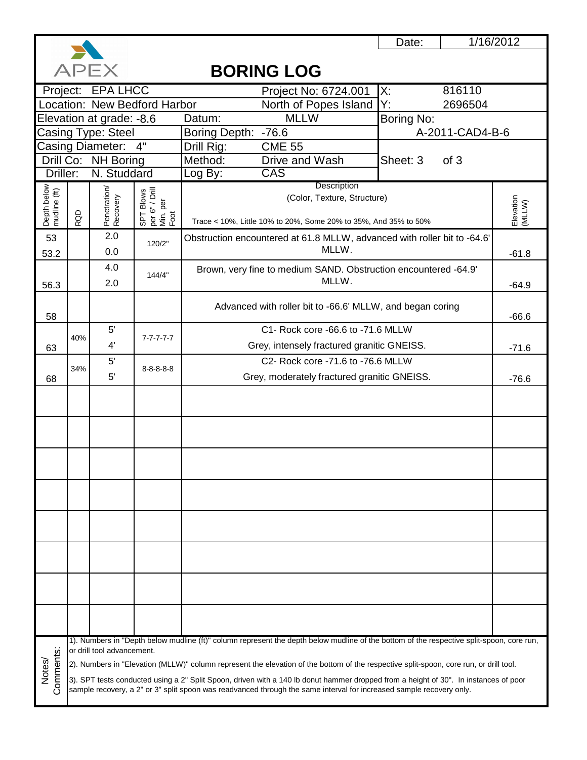

1/16/2012

## **APEX BORING LOG** Project: EPA LHCC Project No: 6724.001 X: 816110 Location: New Bedford Harbor North of Popes Island Y: 2696504 North of Popes Island Y:<br>MLLW Bo Elevation at grade: -8.6 Datum: MLLW Boring No: Casing Type: Steel \_\_\_\_\_\_\_ |Boring Depth: -76.6 \_\_\_\_\_\_\_\_\_\_\_\_\_\_\_\_\_\_\_\_\_\_\_\_\_\_\_\_\_\_\_\_A-2011-CAD4-B-6 Casing Diameter: Drill Rig: CME 55 Drill Co: NH Boring Method: Drive and Wash **Sheet: 3** of 3 Driller: N. Studdard Log By: CAS **Description** Depth below<br>mudline (ft)<br>RQD<br>Penetration/<br>Recovery<br>SPT Blows<br>SPD Pen<br>Min. per (Color, Texture, Structure) Elevation<br>(MLLW) Elevation Trace < 10%, Little 10% to 20%, Some 20% to 35%, And 35% to 50% 2.0 53 120/2" Obstruction encountered at 61.8 MLLW, advanced with roller bit to -64.6' MLLW. 0.0 -61.8 53.2 4.0 Brown, very fine to medium SAND. Obstruction encountered -64.9' 144/4" MLLW. 56.3 2.0 MELW. 64.9 Advanced with roller bit to -66.6' MLLW, and began coring 58 **- 58 - 58 - 66.6** 5' C1- Rock core -66.6 to -71.6 MLLW 40% 7-7-7-7-7 63 4' | Grey, intensely fractured granitic GNEISS. 271.6 5' C2- Rock core -71.6 to -76.6 MLLW 34% 8-8-8-8-8 68 5' contract a Grey, moderately fractured granitic GNEISS. The contract of the contract of GNEISS. 1). Numbers in "Depth below mudline (ft)" column represent the depth below mudline of the bottom of the respective split-spoon, core run, or drill tool advancement. Notes/<br>Comments: 2). Numbers in "Elevation (MLLW)" column represent the elevation of the bottom of the respective split-spoon, core run, or drill tool. 3). SPT tests conducted using a 2" Split Spoon, driven with a 140 lb donut hammer dropped from a height of 30". In instances of poor sample recovery, a 2" or 3" split spoon was readvanced through the same interval for increased sample recovery only.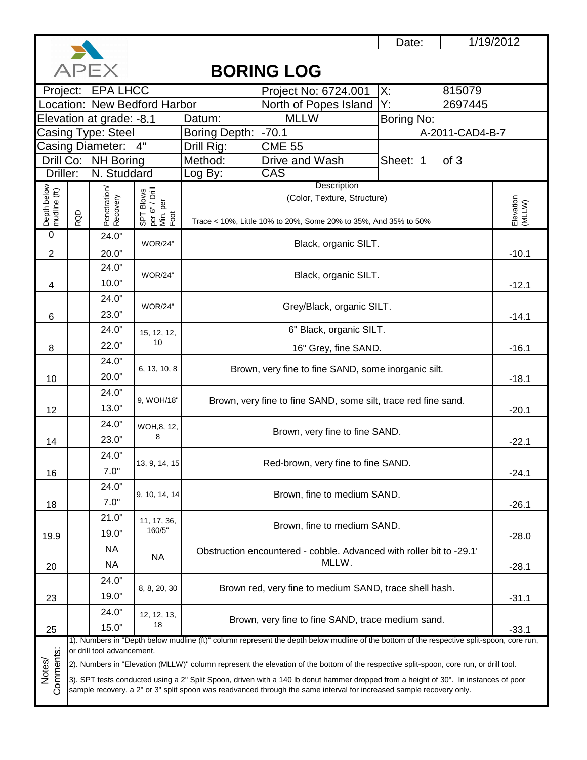

1/19/2012

### **APFX BORING LOG** Project No: 6724.001 X: 815079 Project: EPA LHCC North of Popes Island Y:<br>MLLW Bo 2697445 Location: New Bedford Harbor Elevation at grade: -8.1 Datum: Boring No: Casing Type: Steel Boring Depth: -70.1<br>Drill Rig: CME 55 A-2011-CAD4-B-7 Casing Diameter: 4" Drill Rig: NH Boring Method: Drive and Wash **Sheet: 1** of 3 Drill Co: Driller: N. Studdard Log By: CAS **Description** Depth below<br>mudline (ft) 20Depth below mudline (ft) 10.0"<br>
24.0"<br>
24.0"<br>
20.0"<br>
20.0"<br>
10.0" per 6" / Drill SPT Blows (Color, Texture, Structure) Elevation<br>(MLLW) Elevation Min. per Foot RQD Trace < 10%, Little 10% to 20%, Some 20% to 35%, And 35% to 50%  $\overline{0}$ 24.0" WOR/24" Black, organic SILT. 2 20.0" -10.1 24.0" WOR/24" Black, organic SILT. 4 -12.1 24.0" The WOR/24" Grey/Black, organic SILT.<br>23.0" WOR/24" 6 -14.1 24.0" 6" Black, organic SILT. 15, 12, 12, 10 22.0" 8 16" Grey, fine SAND. -16.1 24.0" 6, 13, 10, 8 Brown, very fine to fine SAND, some inorganic silt. 20.0" 10 -18.1 24.0" 9, WOH/18" Brown, very fine to fine SAND, some silt, trace red fine sand. 13.0" 12 -20.1 24.0" WOH,8, 12, Brown, very fine to fine SAND. 8 23.0" 14 -22.1 24.0" 13, 9, 14, 15 Red-brown, very fine to fine SAND. 7.0" 16 -24.1 24.0" 9, 10, 14, 14 Brown, fine to medium SAND. 7.0" 18 -26.1 21.0" 11, 17, 36, Brown, fine to medium SAND. 160/5" 19.0" 19.9 -28.0 NA Obstruction encountered - cobble. Advanced with roller bit to -29.1' NA MLLW. NA 20 -28.124.0" 8, 8, 20, 30 Brown red, very fine to medium SAND, trace shell hash. 19.0" 23 -31.1 24.0" 12, 12, 13,  $\begin{bmatrix} 12, 13, 1 \ 18 \end{bmatrix}$  Brown, very fine to fine SAND, trace medium sand. 15.0" 25 -33.1 1). Numbers in "Depth below mudline (ft)" column represent the depth below mudline of the bottom of the respective split-spoon, core run, Comments: or drill tool advancement. Comments: Notes/ 2). Numbers in "Elevation (MLLW)" column represent the elevation of the bottom of the respective split-spoon, core run, or drill tool. 3). SPT tests conducted using a 2" Split Spoon, driven with a 140 lb donut hammer dropped from a height of 30". In instances of poor sample recovery, a 2" or 3" split spoon was readvanced through the same interval for increased sample recovery only.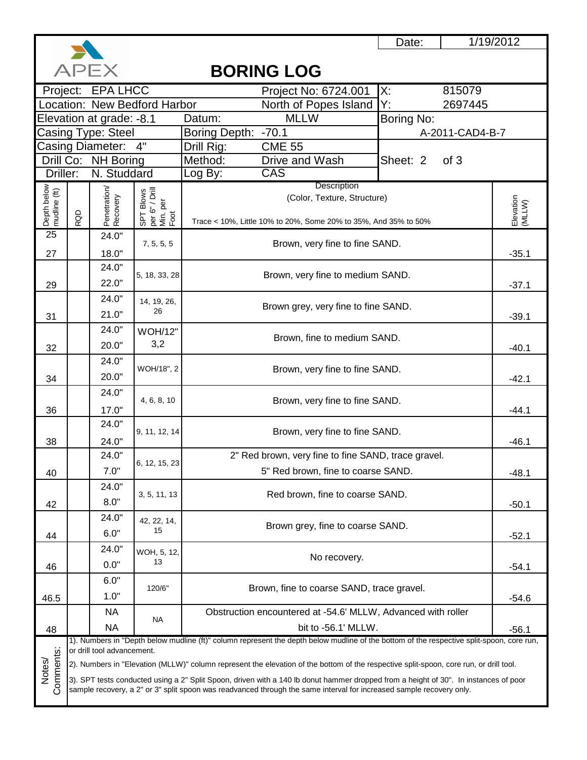

1/19/2012

### **APFX BORING LOG** Project: EPA LHCC Project No: 6724.001 X: 815079 Location: New Bedford Harbor North of Popes Island Y: 2697445 North of Popes Island Y:<br>MLLW Bo Elevation at grade: -8.1 Datum: MLLW Boring No: Casing Type: Steel \_\_\_\_\_\_\_\_ Boring Depth: -70.1 \_\_\_\_\_\_\_\_\_\_\_\_\_\_\_\_\_\_\_\_\_\_\_\_\_\_\_\_\_\_\_\_ A-2011-CAD4-B-7 Casing Diameter: Drill Rig: CME 55 Drill Co: NH Boring Method: Drive and Wash **Sheet: 2** of 3 Driller: N. Studdard Log By: CAS **Description** Depth below<br>mudline (ft)<br>RQD<br>Penetration/ Recovery (Color, Texture, Structure) Elevation<br>(MLLW) Elevation Min. per Foot Trace < 10%, Little 10% to 20%, Some 20% to 35%, And 35% to 50% 25 24.0" 7, 5, 5, 5 Brown, very fine to fine SAND. 27 18.0" -35.1 24.0"  $\begin{array}{|l|l|} \hline \cdots \cr \hline \end{array}$  5, 18, 33, 28 Brown, very fine to medium SAND.  $\begin{array}{|l|} \hline \end{array}$  -37.1 29 24.0" 14, 19, 26,  $21.0"$   $26$   $26.1$   $26.1$   $26.1$   $26.1$   $27.0"$   $28.1$ 31 24.0" WOH/12"  $\begin{array}{|c|c|c|c|c|}\n\hline\n20.0" & 3.2 & \text{Brown, fine to medium SAND.} \\
\hline\n\end{array}$ 32 24.0"  $20.0"$  WOH/18", 2 Brown, very fine to fine SAND.<br>20.0" -42.1 34 24.0" 4, 6, 8, 10 Brown, very fine to fine SAND. 36 17.0"  $\vert$  -44.1 24.0" 9, 11, 12, 14 Brown, very fine to fine SAND. 38 24.0" | -46.1 2" Red brown, very fine to fine SAND, trace gravel. 24.0" 6, 12, 15, 23 7.0" | CHE THE STREET STREET STREET STREET STREET STREET STREET STREET STREET STREET STREET STREET STREET STRE 40 24.0" 3, 5, 11, 13 Red brown, fine to coarse SAND.  $8.0"$  -50.1 42  $24.0''$  42, 22, 14,  $15$  Brown grey, fine to coarse SAND.<br>6.0"  $15$  -52.1 44 24.0" WOH, 5, 12,  $13$  No recovery.<br> $0.0"$   $13$  -54.1 46 6.0" 120/6" Brown, fine to coarse SAND, trace gravel.<br>1.0" 1.0" -54.6 46.5 NA Obstruction encountered at -54.6' MLLW, Advanced with roller NA NA  $\vert$  -56.1' MLLW. 48 1). Numbers in "Depth below mudline (ft)" column represent the depth below mudline of the bottom of the respective split-spoon, core run, Comments: or drill tool advancement. Comments: Notes/ 2). Numbers in "Elevation (MLLW)" column represent the elevation of the bottom of the respective split-spoon, core run, or drill tool. 3). SPT tests conducted using a 2" Split Spoon, driven with a 140 lb donut hammer dropped from a height of 30". In instances of poor sample recovery, a 2" or 3" split spoon was readvanced through the same interval for increased sample recovery only.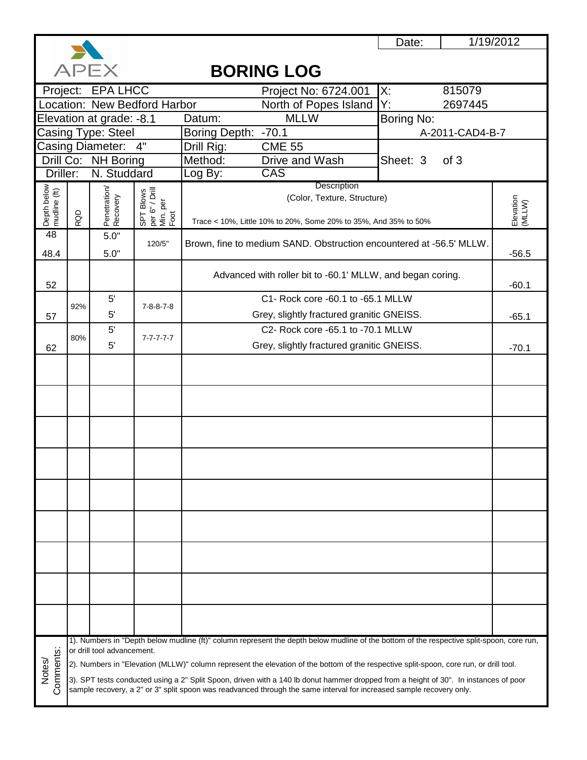

1/19/2012

## **APEX BORING LOG** Project: EPA LHCC Project No: 6724.001 X: 815079 Location: New Bedford Harbor North of Popes Island Y: 2697445 North of Popes Island Y:<br>MLLW Bo Elevation at grade: -8.1 Datum: MLLW Boring No: Casing Type: Steel Boring Depth: -70.1<br>Drill Rig: CME 55 A-2011-CAD4-B-7 Casing Diameter: Drill Rig: Drill Co: NH Boring Method: Drive and Wash **Sheet: 3** of 3 Driller: N. Studdard Log By: CAS **Description** Depth below<br>mudline (ft)<br>RQD<br>Penetration/<br>Recovery<br>SPT Blows<br>SPD Pen<br>Min. per (Color, Texture, Structure) Elevation<br>(MLLW) Elevation Trace < 10%, Little 10% to 20%, Some 20% to 35%, And 35% to 50% 48 5.0" 120/5" | Brown, fine to medium SAND. Obstruction encountered at -56.5' MLLW. 48.4  $5.0"$   $-56.5$ Advanced with roller bit to -60.1' MLLW, and began coring. 52 -60.1 C1- Rock core -60.1 to -65.1 MLLW 5' 92% 7-8-8-7-8 57 5' | Grey, slightly fractured granitic GNEISS. | -65.1 5' C2- Rock core -65.1 to -70.1 MLLW 80% 7-7-7-7-7 62 5' Crey, slightly fractured granitic GNEISS. The Contract of the Contract of the Contract of Tensis of the Contract of Tensis of Tensis of Tensis of Tensis of Tensis of Tensis of Tensis of Tensis of Tensis of Tensis of Ten 1). Numbers in "Depth below mudline (ft)" column represent the depth below mudline of the bottom of the respective split-spoon, core run, Comments: or drill tool advancement. Comments: Notes/ 2). Numbers in "Elevation (MLLW)" column represent the elevation of the bottom of the respective split-spoon, core run, or drill tool. 3). SPT tests conducted using a 2" Split Spoon, driven with a 140 lb donut hammer dropped from a height of 30". In instances of poor sample recovery, a 2" or 3" split spoon was readvanced through the same interval for increased sample recovery only.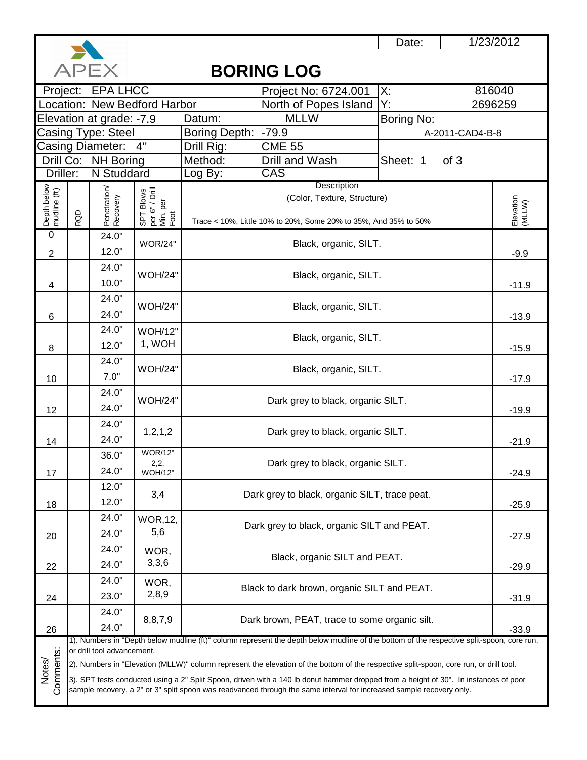

1/23/2012

 $\overline{\phantom{a}}$ 

|                             | APEX<br><b>BORING LOG</b>                                                                                                                                                                                                                                                 |                            |                                                 |                     |                                                                                                                                           |                  |                     |  |  |
|-----------------------------|---------------------------------------------------------------------------------------------------------------------------------------------------------------------------------------------------------------------------------------------------------------------------|----------------------------|-------------------------------------------------|---------------------|-------------------------------------------------------------------------------------------------------------------------------------------|------------------|---------------------|--|--|
|                             |                                                                                                                                                                                                                                                                           | Project: EPA LHCC          |                                                 |                     | Project No: 6724.001                                                                                                                      | Х:               | 816040              |  |  |
|                             |                                                                                                                                                                                                                                                                           |                            | Location: New Bedford Harbor                    |                     | North of Popes Island                                                                                                                     | Y.               | 2696259             |  |  |
| Elevation at grade: -7.9    |                                                                                                                                                                                                                                                                           |                            |                                                 | Datum:              | <b>MLLW</b>                                                                                                                               | Boring No:       |                     |  |  |
|                             |                                                                                                                                                                                                                                                                           | Casing Type: Steel         |                                                 | Boring Depth: -79.9 |                                                                                                                                           | A-2011-CAD4-B-8  |                     |  |  |
|                             |                                                                                                                                                                                                                                                                           | Casing Diameter: 4"        |                                                 | Drill Rig:          | <b>CME 55</b>                                                                                                                             |                  |                     |  |  |
|                             |                                                                                                                                                                                                                                                                           | Drill Co: NH Boring        |                                                 | Method:             | Drill and Wash                                                                                                                            | Sheet: 1<br>of 3 |                     |  |  |
| Driller:                    |                                                                                                                                                                                                                                                                           | N Studdard                 |                                                 | Log By:             | CAS                                                                                                                                       |                  |                     |  |  |
|                             | Description<br>(Color, Texture, Structure)                                                                                                                                                                                                                                |                            |                                                 |                     |                                                                                                                                           |                  |                     |  |  |
|                             |                                                                                                                                                                                                                                                                           |                            |                                                 |                     |                                                                                                                                           |                  |                     |  |  |
| Depth below<br>mudline (ft) | RQD                                                                                                                                                                                                                                                                       | Penetration/<br>Recovery   | SPT Blows<br>per 6" / Drill<br>Min. per<br>Foot |                     | Trace < 10%, Little 10% to 20%, Some 20% to 35%, And 35% to 50%                                                                           |                  | Elevation<br>(MLLW) |  |  |
| $\overline{0}$              |                                                                                                                                                                                                                                                                           | 24.0"                      |                                                 |                     |                                                                                                                                           |                  |                     |  |  |
| $\overline{2}$              |                                                                                                                                                                                                                                                                           | 12.0"                      | <b>WOR/24"</b>                                  |                     | Black, organic, SILT.                                                                                                                     |                  | $-9.9$              |  |  |
|                             |                                                                                                                                                                                                                                                                           | 24.0"                      |                                                 |                     |                                                                                                                                           |                  |                     |  |  |
| 4                           |                                                                                                                                                                                                                                                                           | 10.0"                      | <b>WOH/24"</b>                                  |                     | Black, organic, SILT.                                                                                                                     |                  | $-11.9$             |  |  |
|                             |                                                                                                                                                                                                                                                                           | 24.0"                      |                                                 |                     |                                                                                                                                           |                  |                     |  |  |
|                             |                                                                                                                                                                                                                                                                           | 24.0"                      | <b>WOH/24"</b>                                  |                     | Black, organic, SILT.                                                                                                                     |                  | $-13.9$             |  |  |
| 6                           |                                                                                                                                                                                                                                                                           | 24.0"                      |                                                 |                     |                                                                                                                                           |                  |                     |  |  |
|                             |                                                                                                                                                                                                                                                                           | 12.0"                      | <b>WOH/12"</b><br>1, WOH                        |                     | Black, organic, SILT.                                                                                                                     |                  |                     |  |  |
| 8                           |                                                                                                                                                                                                                                                                           |                            |                                                 |                     |                                                                                                                                           |                  |                     |  |  |
|                             |                                                                                                                                                                                                                                                                           | 24.0"                      | <b>WOH/24"</b>                                  |                     | Black, organic, SILT.                                                                                                                     |                  |                     |  |  |
| 10                          |                                                                                                                                                                                                                                                                           | 7.0"                       |                                                 |                     |                                                                                                                                           |                  |                     |  |  |
|                             |                                                                                                                                                                                                                                                                           | 24.0"                      | <b>WOH/24"</b>                                  |                     | Dark grey to black, organic SILT.                                                                                                         |                  |                     |  |  |
| 12                          |                                                                                                                                                                                                                                                                           | 24.0"                      |                                                 |                     |                                                                                                                                           |                  |                     |  |  |
|                             |                                                                                                                                                                                                                                                                           | 24.0"                      | 1, 2, 1, 2                                      |                     | Dark grey to black, organic SILT.                                                                                                         |                  |                     |  |  |
| 14                          |                                                                                                                                                                                                                                                                           | 24.0"                      |                                                 |                     |                                                                                                                                           |                  | $-21.9$             |  |  |
|                             |                                                                                                                                                                                                                                                                           | 36.0"                      | <b>WOR/12"</b><br>2,2,                          |                     |                                                                                                                                           |                  |                     |  |  |
| 17                          |                                                                                                                                                                                                                                                                           | 24.0"                      | WOH/12"                                         |                     | Dark grey to black, organic SILT.                                                                                                         |                  | $-24.9$             |  |  |
|                             |                                                                                                                                                                                                                                                                           | 12.0"                      |                                                 |                     |                                                                                                                                           |                  |                     |  |  |
| 18                          |                                                                                                                                                                                                                                                                           | 12.0"                      | 3,4                                             |                     | Dark grey to black, organic SILT, trace peat.                                                                                             |                  | $-25.9$             |  |  |
|                             |                                                                                                                                                                                                                                                                           | 24.0"                      | <b>WOR, 12,</b>                                 |                     |                                                                                                                                           |                  |                     |  |  |
| 20                          |                                                                                                                                                                                                                                                                           | 24.0"                      | 5,6                                             |                     | Dark grey to black, organic SILT and PEAT.                                                                                                |                  | $-27.9$             |  |  |
|                             |                                                                                                                                                                                                                                                                           | 24.0"                      | WOR,                                            |                     |                                                                                                                                           |                  |                     |  |  |
|                             |                                                                                                                                                                                                                                                                           | 24.0"                      | 3,3,6                                           |                     | Black, organic SILT and PEAT.                                                                                                             |                  |                     |  |  |
| 22                          |                                                                                                                                                                                                                                                                           | 24.0"                      |                                                 |                     |                                                                                                                                           |                  | $-29.9$             |  |  |
|                             |                                                                                                                                                                                                                                                                           |                            | WOR,<br>2,8,9                                   |                     | Black to dark brown, organic SILT and PEAT.                                                                                               |                  |                     |  |  |
| 24                          |                                                                                                                                                                                                                                                                           | 23.0"                      |                                                 |                     |                                                                                                                                           |                  | $-31.9$             |  |  |
|                             |                                                                                                                                                                                                                                                                           | 24.0"                      | 8,8,7,9                                         |                     | Dark brown, PEAT, trace to some organic silt.                                                                                             |                  |                     |  |  |
| 26                          |                                                                                                                                                                                                                                                                           | 24.0"                      |                                                 |                     |                                                                                                                                           |                  | $-33.9$             |  |  |
|                             |                                                                                                                                                                                                                                                                           | or drill tool advancement. |                                                 |                     | 1). Numbers in "Depth below mudline (ft)" column represent the depth below mudline of the bottom of the respective split-spoon, core run, |                  |                     |  |  |
| Notes/                      |                                                                                                                                                                                                                                                                           |                            |                                                 |                     | 2). Numbers in "Elevation (MLLW)" column represent the elevation of the bottom of the respective split-spoon, core run, or drill tool.    |                  |                     |  |  |
|                             |                                                                                                                                                                                                                                                                           |                            |                                                 |                     |                                                                                                                                           |                  |                     |  |  |
|                             | Comments:<br>3). SPT tests conducted using a 2" Split Spoon, driven with a 140 lb donut hammer dropped from a height of 30". In instances of poor<br>sample recovery, a 2" or 3" split spoon was readvanced through the same interval for increased sample recovery only. |                            |                                                 |                     |                                                                                                                                           |                  |                     |  |  |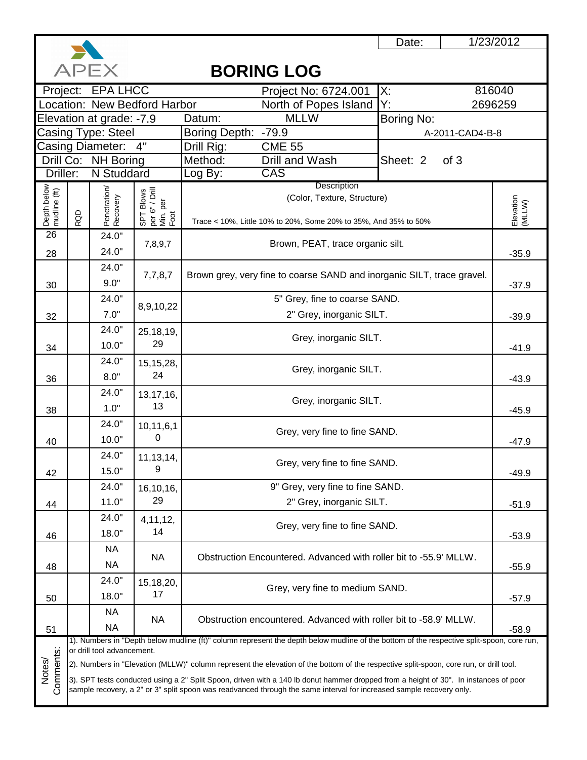

1/23/2012

|                             |     | APEX                       |                                                 |                     | <b>BORING LOG</b>                                                                                                                                                                                                                                            |            |                 |                     |  |
|-----------------------------|-----|----------------------------|-------------------------------------------------|---------------------|--------------------------------------------------------------------------------------------------------------------------------------------------------------------------------------------------------------------------------------------------------------|------------|-----------------|---------------------|--|
|                             |     | Project: EPA LHCC          |                                                 |                     | Project No: 6724.001                                                                                                                                                                                                                                         | X:         |                 | 816040              |  |
|                             |     |                            | Location: New Bedford Harbor                    |                     | North of Popes Island                                                                                                                                                                                                                                        | Y:         |                 | 2696259             |  |
| Elevation at grade: -7.9    |     |                            |                                                 | Datum:              | <b>MLLW</b>                                                                                                                                                                                                                                                  | Boring No: |                 |                     |  |
|                             |     | Casing Type: Steel         |                                                 | Boring Depth: -79.9 |                                                                                                                                                                                                                                                              |            | A-2011-CAD4-B-8 |                     |  |
|                             |     | <b>Casing Diameter:</b>    | 4"                                              | Drill Rig:          | <b>CME 55</b>                                                                                                                                                                                                                                                |            |                 |                     |  |
| Driller:                    |     | Drill Co: NH Boring        |                                                 | Method:             | Drill and Wash<br>CAS                                                                                                                                                                                                                                        | Sheet: 2   | of 3            |                     |  |
|                             |     | N Studdard                 |                                                 | Log By:             | Description                                                                                                                                                                                                                                                  |            |                 |                     |  |
| Depth below<br>mudline (ft) |     | Penetration/<br>Recovery   | SPT Blows<br>per 6" / Drill<br>Min. per<br>Foot |                     | (Color, Texture, Structure)                                                                                                                                                                                                                                  |            |                 |                     |  |
|                             | RQD |                            |                                                 |                     |                                                                                                                                                                                                                                                              |            |                 | Elevation<br>(MLLW) |  |
| $\overline{26}$             |     |                            |                                                 |                     | Trace < 10%, Little 10% to 20%, Some 20% to 35%, And 35% to 50%                                                                                                                                                                                              |            |                 |                     |  |
|                             |     | 24.0"                      | 7,8,9,7                                         |                     | Brown, PEAT, trace organic silt.                                                                                                                                                                                                                             |            |                 |                     |  |
| 28                          |     | 24.0"                      |                                                 |                     |                                                                                                                                                                                                                                                              |            |                 | $-35.9$             |  |
|                             |     | 24.0"                      | 7,7,8,7                                         |                     | Brown grey, very fine to coarse SAND and inorganic SILT, trace gravel.                                                                                                                                                                                       |            |                 |                     |  |
| 30                          |     | 9.0"                       |                                                 |                     |                                                                                                                                                                                                                                                              |            |                 | $-37.9$             |  |
|                             |     | 24.0"                      | 8,9,10,22                                       |                     | 5" Grey, fine to coarse SAND.                                                                                                                                                                                                                                |            |                 |                     |  |
| 32                          |     | 7.0"                       |                                                 |                     | 2" Grey, inorganic SILT.                                                                                                                                                                                                                                     |            |                 |                     |  |
|                             |     | 24.0"                      | 25,18,19,                                       |                     |                                                                                                                                                                                                                                                              |            |                 |                     |  |
| 34                          |     | 10.0"                      | 29                                              |                     | Grey, inorganic SILT.                                                                                                                                                                                                                                        |            |                 |                     |  |
|                             |     | 24.0"                      | 15, 15, 28,<br>Grey, inorganic SILT.            |                     |                                                                                                                                                                                                                                                              |            |                 |                     |  |
| 36                          |     | 8.0"                       | 24                                              |                     |                                                                                                                                                                                                                                                              |            |                 | $-43.9$             |  |
|                             |     | 24.0"                      | 13, 17, 16,                                     |                     | Grey, inorganic SILT.                                                                                                                                                                                                                                        |            |                 |                     |  |
| 38                          |     | 1.0"                       | 13                                              |                     |                                                                                                                                                                                                                                                              |            |                 |                     |  |
|                             |     | 24.0"                      | 10,11,6,1                                       |                     | Grey, very fine to fine SAND.                                                                                                                                                                                                                                |            |                 |                     |  |
| 40                          |     | 10.0"                      | 0                                               |                     |                                                                                                                                                                                                                                                              |            |                 | $-47.9$             |  |
|                             |     | 24.0"                      | 11, 13, 14,                                     |                     | Grey, very fine to fine SAND.                                                                                                                                                                                                                                |            |                 |                     |  |
| 42                          |     | 15.0"                      | 9                                               |                     |                                                                                                                                                                                                                                                              |            |                 | $-49.9$             |  |
|                             |     | 24.0"                      | 16,10,16,                                       |                     | 9" Grey, very fine to fine SAND.                                                                                                                                                                                                                             |            |                 |                     |  |
| 44                          |     | 11.0"                      | 29                                              |                     | 2" Grey, inorganic SILT.                                                                                                                                                                                                                                     |            |                 | $-51.9$             |  |
|                             |     | 24.0"                      | 4, 11, 12,                                      |                     |                                                                                                                                                                                                                                                              |            |                 |                     |  |
| 46                          |     | 18.0"                      | 14                                              |                     | Grey, very fine to fine SAND.                                                                                                                                                                                                                                |            |                 | $-53.9$             |  |
|                             |     | <b>NA</b>                  |                                                 |                     |                                                                                                                                                                                                                                                              |            |                 |                     |  |
| 48                          |     | <b>NA</b>                  | <b>NA</b>                                       |                     | Obstruction Encountered. Advanced with roller bit to -55.9' MLLW.                                                                                                                                                                                            |            |                 | $-55.9$             |  |
|                             |     | 24.0"                      | 15,18,20,                                       |                     |                                                                                                                                                                                                                                                              |            |                 |                     |  |
| 50                          |     | 18.0"                      | 17                                              |                     | Grey, very fine to medium SAND.                                                                                                                                                                                                                              |            |                 | $-57.9$             |  |
|                             |     | <b>NA</b>                  |                                                 |                     |                                                                                                                                                                                                                                                              |            |                 |                     |  |
| 51                          |     | <b>NA</b>                  | <b>NA</b>                                       |                     | Obstruction encountered. Advanced with roller bit to -58.9' MLLW.                                                                                                                                                                                            |            |                 | $-58.9$             |  |
|                             |     |                            |                                                 |                     | 1). Numbers in "Depth below mudline (ft)" column represent the depth below mudline of the bottom of the respective split-spoon, core run,                                                                                                                    |            |                 |                     |  |
|                             |     | or drill tool advancement. |                                                 |                     |                                                                                                                                                                                                                                                              |            |                 |                     |  |
| Comments:<br>Notes/         |     |                            |                                                 |                     | 2). Numbers in "Elevation (MLLW)" column represent the elevation of the bottom of the respective split-spoon, core run, or drill tool.                                                                                                                       |            |                 |                     |  |
|                             |     |                            |                                                 |                     | 3). SPT tests conducted using a 2" Split Spoon, driven with a 140 lb donut hammer dropped from a height of 30". In instances of poor<br>sample recovery, a 2" or 3" split spoon was readvanced through the same interval for increased sample recovery only. |            |                 |                     |  |